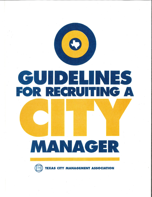

# CUDEHNES

# MANAGER

**CIATION MANAGEM**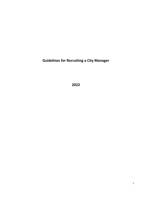**Guidelines for Recruiting a City Manager**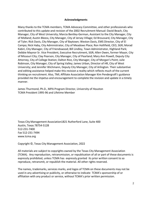#### **Acknowledgments**

Many thanks to the TCMA members, TCMA Advocacy Committee, and other professionals who contributed to this update and revision of the 2002 Recruitment Manual: David Beach, City Manager, City of West University; Marcia Bentley-German, Assistant to the City Manager, City of Midland; Austin Bleess, City Manager, City of Jersey Village; Ed Broussard, City Manager, City of Tyler; Rick Davis, City Manager, City of Baytown; Weston Davis, EMS Director, City of El Campo; Nick Haby, City Administrator, City of Meadows Place; Ron Hollifield, CEO, SGR; Morad Kabiri, City Manager, City of Friendswood; Bill Lindley, Town Administrator, Highland Park; Debbie Maynor Sr. Vice President, Executive Recruitment, SGR; Allen Owen, former Mayor, City of Missouri City; Clay Pearson, City Manager, City of Pearland; Mary Ann Powell, Deputy City Attorney, City of College Station; Dalton Rice, City Manager, City of Morgan's Point; Julie Robinson, City Manager, City of Spring Valley; James Urban, Director of HR, City of West University; and Jennifer Wichmann, Deputy City Manager, City of Arlington. Their substantive and editing assistance helped make this revision a reality which reflects much of the current thinking on recruitment. Also, TML Affiliate Association Manager Kim Pendergraft's guidance provided me the impetus and encouragement to complete the revision and update in a timely manner.

James Thurmond, Ph.D., MPA Program Director, University of Houston TCMA President 1995-96 and Lifetime Member

Texas City Management Association1821 Rutherford Lane, Suite 400 Austin, Texas 78754-5128 512-231-7400 Fax 512-231-7494 [www.tcma.org](http://www.tcma.org/)

Copyright ©, Texas City Management Association, 2022

All materials are subject to copyrights owned by the Texas City Management Association (TCMA). Any reproduction, retransmission, or republication of all or part of these documents is expressly prohibited, unless TCMA has expressly granted its prior written consent to so reproduce, retransmit, or republish the material. All other rights reserved.

The names, trademarks, services marks, and logos of TCMA on these documents may not be used in any advertising or publicity, or otherwise to indicate TCMA's sponsorship of or affiliation with any product or service, without TCMA's prior written permission.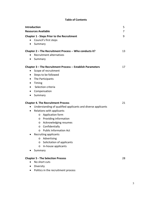## **Table of Contents**

| <b>Introduction</b>                                               | 5  |
|-------------------------------------------------------------------|----|
| <b>Resources Available</b>                                        | 7  |
| <b>Chapter 1 - Steps Prior to the Recruitment</b>                 | 9  |
| Council's first steps<br>$\bullet$                                |    |
| Summary<br>$\bullet$                                              |    |
| Chapter 2 - The Recruitment Process -- Who conducts it?           | 13 |
| Recruitment alternatives<br>$\bullet$                             |    |
| Summary<br>$\bullet$                                              |    |
| Chapter 3 - The Recruitment Process -- Establish Parameters       | 17 |
| Scope of recruitment<br>٠                                         |    |
| Steps to be followed<br>$\bullet$                                 |    |
| The Participants<br>$\bullet$                                     |    |
| Timing<br>$\bullet$                                               |    |
| Selection criteria<br>$\bullet$                                   |    |
| Compensation<br>٠                                                 |    |
| Summary<br>$\bullet$                                              |    |
| <b>Chapter 4. The Recruitment Process</b>                         | 21 |
| Understanding of qualified applicants and diverse applicants<br>٠ |    |
| Relations with applicants<br>٠                                    |    |
| Application form<br>O                                             |    |
| <b>Providing information</b><br>O                                 |    |
| Acknowledging resumes<br>O                                        |    |
| Confidentially<br>$\circ$                                         |    |
| <b>Public Information Act</b><br>O                                |    |
| Recruiting applicants                                             |    |
| Advertising<br>O                                                  |    |
| Solicitation of applicants<br>O                                   |    |
| In-house applicants<br>O                                          |    |
| Summary                                                           |    |
| <b>Chapter 5 - The Selection Process</b>                          | 28 |
| No short cuts                                                     |    |
| Diversity                                                         |    |
| Politics in the recruitment process                               |    |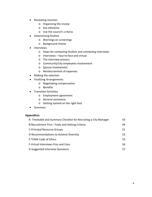- Reviewing resumes
	- o Organizing the review
	- o Key elements
	- o Use the council's criteria
- Determining finalists
	- o Warnings on screenings
	- o Background checks
- **Interviews** 
	- o Steps for contacting finalists and scheduling interviews
	- o Interviews face-to-face and virtual
	- o The interview process
	- o Community/city employees involvement
	- o Spouse involvement
	- o Reimbursement of expenses
- Making the selection
- Finalizing Arrangements
	- o Negotiating compensation
	- o Benefits
- Transition Activities
	- o Employment agreement
	- o General assistance
	- o Getting started on the right foot
- Summary

#### **Appendices**

| A-Timetable and Summary Checklist for Recruiting a City Manager | 43 |
|-----------------------------------------------------------------|----|
| B-Recruitment Firm - Tasks and Vetting Criteria                 | 44 |
| <b>C-Principal Resource Groups</b>                              | 51 |
| D-Recommendations to Achieve Diversity                          | 53 |
| <b>E-TCMA Code of Ethics</b>                                    | 55 |
| <b>F-Virtual Interviews Pros and Cons</b>                       | 56 |
| <b>G-Suggested Interview Questions</b>                          | 57 |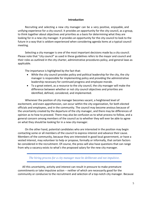#### **Introduction**

Recruiting and selecting a new city manager can be a very positive, enjoyable, and unifying experience for a city council. It provides an opportunity for the city council, as a group, to think together about objectives and priorities as a basis for determining what they are looking for in a new city manager. It provides an opportunity for the city council to look to the future in a way that is seldom experienced when considering agenda items at a typical council meeting.

Selecting a city manager is one of the most important decisions made by a city council. Please note that "city council" as used in these guidelines refers to the mayor and council and their roles as outlined in the city charter, administrative procedures policy, and general laws as applicable.

The importance is highlighted by the fact that:

- While the city council provides policy and political leadership for the city, the city manager is responsible for implementing policy and providing the administrative leadership necessary for continued progress and employee morale.
- To a great extent, as a resource to the city council, the city manager will make the difference between whether or not city council objectives and priorities are identified, defined, considered, and implemented.

Whenever the position of city manager becomes vacant, a heightened level of excitement, and even apprehension, can occur within the city organization, for both elected officials and employees, and in the community. The council may become anxious because of the uncertainty created by the departure of the city manager, and there may be differences of opinion as to how to proceed. There may also be confusion as to what process to follow, and a general concern among members of the council as to whether they will ever be able to agree on what they should be looking for in a new city manager.

On the other hand, potential candidates who are interested in the position may begin contacting some or all members of the council to express interest and advance their cause. Members of the community, because they are interested in good local government, or have a vested interest, may volunteer to help or propose, formally or informally, that certain factors be considered in the recruitment. Of course, the press will also have questions that can range from why a vacancy exists to what's the proposed salary for the new city manager.

*The hiring process for a city manager must be deliberate and not impulsive.*

All this uncertainty, activity and interest can result in pressure to make premature commitments or take impulsive action -- neither of which are necessarily good for the community or conducive to the recruitment and selection of a top-notch city manager. Because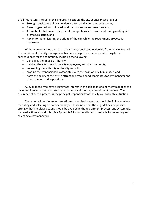of all this natural interest in this important position, the city council must provide:

- Strong, consistent political leadership for conducting the recruitment,
- A well organized, coordinated, and transparent recruitment process,
- A timetable that assures a prompt, comprehensive recruitment, and guards against premature action, and
- A plan for administering the affairs of the city while the recruitment process is underway.

Without an organized approach and strong, consistent leadership from the city council, the recruitment of a city manager can become a negative experience with long-term consequences for the community including the following:

- damaging the image of the city,
- dividing the city council, the city employees, and the community,
- weakening the authority of the city council,
- eroding the responsibilities associated with the position of city manager, and
- harm the ability of the city to attract and retain good candidates for city manager and other administrative positions.

Also, all those who have a legitimate interest in the selection of a new city manager can have that interest accommodated by an orderly and thorough recruitment process. The assurance of such a process is the principal responsibility of the city council in this situation.

These guidelines discuss systematic and organized steps that should be followed when recruiting and selecting a new city manager. Please note that these guidelines emphasize strongly that impulsive actions should be avoided in the recruitment process, and systematic, planned actions should rule. (See Appendix A for a checklist and timetable for recruiting and selecting a city manager.)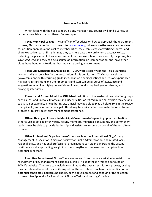#### **Resources Available**

When faced with the need to recruit a city manager, city councils will find a variety of resources available to assist them. For example:

**Texas Municipal League**--TML staff can offer advice on how to approach the recruitment process; TML has a section on its website [\(www.tml.org\)](http://www.tml.org/) where advertisements can be placed for position openings at no cost to member cities; they can suggest advertising sources and share executive search firms listings; they can help pass the word when a vacancy exists, including the placement of an advertisement on their website or their monthly magazine, *Texas Town and City*; and they can be a source of information on compensation and how other cities have handled situations that may arise during a recruitment.

**Texas City Management Association--**TCMA works closely with the Texas Municipal League and is responsible for the preparation of this publication. TCMA has a website (www.tcma.org) with recruiting guidelines, position openings listings and lists of experienced managers in transition; and their members and staff can be a source of assistance and suggestions when identifying potential candidates, conducting background checks, and arranging interviews.

**Current and Former Municipal Officials--**In addition to the leadership and staff of groups such as TML and TCMA, city officials in adjacent cities or retired municipal officials may be able to assist. For example, a neighboring city official may be able to play a helpful role in the review of applicants, and a retired municipal official may be available to coordinate the recruitment process or to provide interim management assistance.

**Others Having an Interest in Municipal Government--**Depending upon the situation, others such as college or university faculty members, municipal consultants, and community leaders may be able to provide leadership and assistance in some part or all of the recruitment process.

**Other Professional Organizations--**Groups such as the International City/County Management Association, American Society for Public Administration, and related local, regional, state, and national professional organizations can aid in advertising the vacant position, as well as providing insight into the strengths and weaknesses of applicants or potential applicants.

**Executive Recruitment Firms--**There are several firms that are available to assist in the recruitment of key management positions in cities. A list of these firms can be found on TCMA's website. Their role can include coordinating the overall recruitment process, or they may be retained to assist on specific aspects of the recruitment such as the identification of potential candidates, background checks, or the development and conduct of the selection process. (See Appendix B – Recruitment Firms – Tasks and Vetting Criteria.)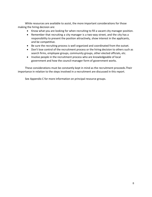While resources are available to assist, the more important considerations for those making the hiring decision are:

- Know what you are looking for when recruiting to fill a vacant city manager position.
- Remember that recruiting a city manager is a two-way street, and the city has a responsibility to present the position attractively, show interest in the applicants, and be competitive.
- Be sure the recruiting process is well organized and coordinated from the outset.
- Don't lose control of the recruitment process or the hiring decision to others such as search firms, employee groups, community groups, other elected officials, etc.
- Involve people in the recruitment process who are knowledgeable of local government and how the council-manager form of government works.

These considerations must be constantly kept in mind as the recruitment proceeds.Their importance in relation to the steps involved in a recruitment are discussed in this report.

See Appendix C for more information on principal resource groups.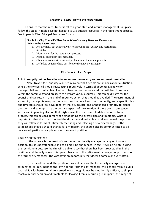#### **Chapter 1 - Steps Prior to the Recruitment**

To ensure that the recruitment is off to a good start and interim management is in place, follow the steps in Table I. Do not hesitate to use outside resources in the recruitment process. See Appendix C for Principal Resources Groups

#### **Table I -- City Council's First Steps When Vacancy Becomes Known and Prior to the Recruitment**

- 1. Act promptly but deliberatively to announce the vacancy and recruitment timetable.
- 2. Meet to plan for the recruitment process.
- 3. Appoint an interim city manager.

Ī

- 4. Obtain status report on current problems and important projects.
- 5. Defer key actions where possible for the new city manager.

#### **City Council's First Steps**

#### **1. Act promptly but deliberatively to announce the vacancy and recruitment timetable.**

News travels fast, and days can seem like weeks if people are anxious about a situation. While the city council should resist acting impulsively in terms of appointing a new city manager, failure to put a plan of action into effect can cause a void that will lead to rumors within the community and pressure to act from various sources. This can be divisive for the council and can result in the kind of impulsive action that should be avoided. The recruitment of a new city manager is an opportunity for the city council and the community, and a specific plan and timetable should be developed by the city council and announced promptly to dispel questions and to emphasize the positive aspects of the situation. If there are circumstances such as an impending election that might cause the city council to delay the recruitment process, this can be considered when establishing the overall plan and timetable. What is important is that the council control the situation and make clear to all concerned the process they will follow in terms of ultimately recruiting and selecting a new city manager. If the established schedule should change for any reason, this should also be communicated to all concerned, particularly applicants for the vacant position.

#### Vacancy Announcement

If the vacancy is the result of a retirement or the city manager moving on to a new position, this is understandable and can simply be announced. In fact, it will be helpful during the recruitment because the city will be able to say that there has been great stability in the position, and the only reason it is open is because of the retirement or new job opportunity for the former city manager. The vacancy is an opportunity that doesn't come along very often.

If, on the other hand, the position is vacant because the former city manager was terminated or quit, neither the city nor the former city manager will benefit from a public quarrel. It is far better for all concerned, even though it may be emotionally difficult, to simply reach a mutual decision and timetable for leaving. From a recruiting standpoint, the image of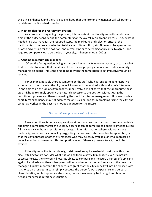the city is enhanced, and there is less likelihood that the former city manager will tell potential candidates that it is a bad situation.

#### **2. Meet to plan for the recruitment process.**

As a prelude to beginning the process, it is important that the city council spend some time at the outset considering the parameters for the overall recruitment process – e.g., what is needed in a city manager, the required steps, the marketing and selection criteria, the participants in the process, whether to hire a recruitment firm, etc. Time must be spent upfront prior to advertising for the position, and certainly prior to screening applicants, to agree upon required competencies to do the job in your city. (Khaneman et al. 2021)

#### **3. Appoint an interim city manager**

Often, the first question facing a city council when a city manager vacancy occurs is what to do in order to assure that the affairs of the city are properly administered until a new city manager is on board. This is the first point at which the temptation to act impulsively must be resisted.

For example, possibly there is someone on the staff who has long-term administrative experience in the city, who the city council knows and has worked with, and who is interested in and able to do the job of city manager. Impulsively, it might seem that the appropriate next step might be to simply appoint this natural successor to the position without using the recruitment process and thereby avoiding the need for interim management. However, such a short-term expediency may not address major issues or long-term problems facing the city, and what has worked in the past may not be adequate for the future.

*The recruitment process must be followed.*

Even when there is no heir apparent, or at least anyone the city council feels comfortable appointing immediately after the vacancy occurs, it can be tempting to appoint someone just to fill the vacancy without a recruitment process. It is in this situation where, without strong leadership, someone may prevail by suggesting that a current staff member be appointed, or that the city approach another city manager who may be easily available or who impressed a council member at a meeting. This temptation, even if there is pressure to act, should be avoided.

If the city council acts impulsively, it risks weakening its leadership position within the city. By failing to first consider what it is looking for in a new city manager, even if a natural successor exists, the city council loses its ability to compare and measure a variety of applicants against its criteria and then subsequently direct and monitor the performance of the new city manager. Equally important, the chances are great that the city council will not be pleased with its choice on a long-term basis, simply because the person's work experience and personal characteristics, while impressive elsewhere, may not necessarily be the right combination needed for success in this new situation.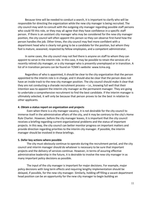Because time will be needed to conduct a search, it is important to clarify who will be responsible for directing the organization while the new city manager is being recruited. The city council may wish to consult with the outgoing city manager regarding possible staff persons who could fill this role, or they may all agree that they have confidence in a specific staff person. If there is an assistant city manager who may be considered for the new city manager position, the city council will often appoint this person so they can observe first-hand how the person handles the job. Other times, the city council may feel more confident with a department head who is clearly not going to be a candidate for the position, but whom they feel is mature, seasoned, respected by fellow employees, and a competent administrator.

In some cases, the city council may not feel there is anyone on staff to whom they can appoint to serve in the interim role. In this case, it may be possible to retain the services of a recently retired city manager, or a city manager who is presently unemployed or in transition. A list of in transition persons can be found on TCMA's website: [www.tcma.org.](http://www.tcma.org/)

Regardless of who is appointed, it should be clear to the city organization that the person appointed to the interim role is in charge, and it should also be clear that the person does not have an inside track to the new city manager position. The city council should make it clear that they are not conducting a charade recruitment process – i.e., knowing full well that their intention was to appoint the interim city manager as the permanent manager. They are going to undertake a comprehensive recruitment to find the best candidate. If the interim manager is ultimately selected, it will only be because that person proves to be the best in relation to other applicants.

#### **4. Obtain a status report on organization and projects**

Even when there is a city manager vacancy, it is not desirable for the city council to immerse itself in the administrative affairs of the city, and it may be contrary to the city's Home Rule Charter. However, before the city manager leaves, it is important that the city council receives a briefing regarding current organizational problems and the status of important projects. In this way, the city council can better monitor progress on important matters and provide direction regarding priorities to the interim city manager. If possible, the interim manager should be involved in these briefings.

#### **5. Defer key actions where possible**

The city must obviously continue to operate during the recruitment period, and the city council and interim manager should do whatever is necessary to be sure that important projects and the delivery of services continue. However, in terms of assuring effective administrative leadership in the future, it is desirable to involve the new city manager in as many important policy decisions as possible.

The input of the city manager is important for major decisions. For example, major policy decisions with long term effects and requiring lengthy implementation should be delayed, if possible, for the new city manager. Similarly, holding off filling a vacant department head position can be an opportunity for the new city manager to begin building an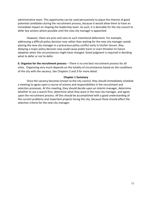administrative team. This opportunity can be used persuasively to pique the interest of good potential candidates during the recruitment process, because it would allow them to have an immediate impact on shaping the leadership team. As such, it is desirable for the city council to defer key actions where possible until the new city manager is appointed.

However, there are pros and cons to such intentional deferment. For example, addressing a difficult policy decision now rather than waiting for the new city manager avoids placing the new city manager in a precarious policy conflict early in his/her tenure. Also, delaying a major policy decision now could cause public harm or even threaten its future adoption when the circumstances might have changed. Good judgment is required in deciding what to defer or not to defer.

**6. Organize for the recruitment process** – There is no one best recruitment process for all cities. Organizing very much depends on the totality of circumstances based on the conditions of the city with the vacancy. See Chapters 2 and 3 for more detail.

#### **Chapter 1 Summary**

Once the vacancy becomes known to the city council, they should immediately schedule a meeting to agree upon a course of actions and responsibilities in the recruitment and selection processes. At this meeting, they should decide upon an interim manager, determine whether to use a search firm, determine what they want in the new city manager, and agree upon the recruitment process. All this should be accomplished with a good understanding of the current problems and important projects facing the city, because these should affect the selection criteria for the new city manager.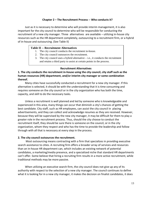#### **Chapter 2 – The Recruitment Process -- Who conducts it?**

Just as it is necessary to determine who will provide interim management, it is also important for the city council to determine who will be responsible for conducting the recruitment of a new city manager. Three alternatives are available – utilizing in-house city resources such as the HR department completely, outsourcing to a recruitment firm, or a hybrid of in-house and outsourcing. (See Table II)

#### **Table II -- Recruitment Alternatives**

- 1. The city council conducts the recruitment in-house.
- 2. The city council outsources the recruitment.
- 3. The city council uses a hybrid alternative  $-$  i.e., it conducts the recruitment and retains a third party to assist at certain points in the process.

#### **Recruitment Alternatives**

**1. The city conducts the recruitment in-house using the city council, city staff such as the human resources (HR) department, and/or interim city manager or some combination thereof.**

Many cities have successfully conducted a recruitment for a new city manager. If this alternative is selected, it should be with the understanding that it is time consuming and requires someone on the city council or in the city organization who has both the time, capacity, and skill to do the necessary tasks.

Unless a recruitment is well planned and led by someone who is knowledgeable and experienced in this area, many things can occur that diminish a city's chances of getting the best candidate. City staff, such as HR employees, can assist the city council in placing advertisements, and they can collect and acknowledge resumes as they are received. However, because they will be supervised by the new city manager, it may be difficult for them to play a greater role in the recruitment process. Thus, should the city choose to conduct the recruitment itself, they should be sure there is someone on the council, or in the city organization, whom they respect and who has the time to provide the leadership and follow through with all that is necessary at every step in the process.

#### **2. The city council outsources the recruitment.**

Most outsourcing means contracting with a firm that specializes in providing executive search assistance to cities. A recruiting firm offers a broader array of services and resources than an in-house HR department can, which includes an existing network of potential candidates, a marketing/media presence, and a specialized niche that standard HR departments can't offer. Some believe that hiring a recruiting firm results in a more active recruitment, while traditional methods may be more passive.

When utilizing an executive search firm, the city council does not give up any of its authority with respect to the selection of a new city manager. The council continues to define what it is looking for in a new city manager, it makes the decision on finalist candidates, it does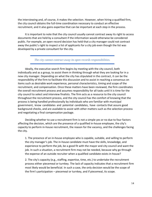the interviewing and, of course, it makes the selection. However, when hiring a qualified firm, the city council obtains the full-time coordination necessary to conduct an effective recruitment, and it also gains expertise that can be important at each step in the process.

It is important to note that the city council usually cannot contract away its right to access documents that are held by a consultant if the information would otherwise be considered public. For example, an open record decision has held that a city manager could not contract away the public's right to inspect a list of applicants for a city job even though the list was developed by a private consultant for the city.

*The city cannot contract away its open records responsibilities.*

Ideally, the executive search firm begins by meeting with the city council, both individually and as a group, to assist them in thinking through what they are looking for in a new city manager. Depending on what the city has stipulated in the contract, it can be the responsibility of the firm to facilitate this discussion and to assist in reaching a consensus on items such as desirable work experience, personal characteristics, timing and scope of the recruitment, and compensation. Once these matters have been reviewed, the firm coordinates the overall recruitment process and assumes responsibility for all tasks until it is time for the city council to select and interview finalists. The firm acts as a resource to the city council throughout the recruitment process, and the city council has the comfort of knowing that the process is being handled professionally by individuals who are familiar with municipal government, know candidates and potential candidates, have contacts that assure good background checks, and are available to assist with other matters such as the selection process and negotiating a final compensation package.

Deciding whether to use a recruitment firm is not a simple yes or no due to four factors affecting the decision, which are the presence of a qualified in-house employee, the city's capacity to perform in-house recruitment, the reason for the vacancy, and the challenges facing the city.

1. The presence of an in-house employee who is capable, suitable, and willing to perform the city manager's job. The in-house candidate must have the skills, knowledge, and experience to perform the job, be a good fit with the mayor and city council and want the job. In such a situation, a recruitment firm may not be needed, because why go through the expense of an outside recruiter when a qualified candidate exists in-house?

2. The city's capacity (e.g., staffing, expertise, time, etc.) to undertake the recruitment process either piecemeal or turnkey. The lack of capacity indicates that a recruitment firm most likely would be beneficial. In such a case, the only decision would be the scope of the firm's participation – piecemeal or turnkey, and if piecemeal, its scope.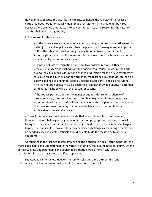However, just because the city has the capacity to handle the recruitment process or parts of it, does not automatically mean that a recruitment firm should not be hired, because there are two other factors to be considered – i.e., the reason for the vacancy and the challenges facing the city.

3. The reason for the vacancy

a. If the vacancy were the result of a voluntary resignation such as a retirement, a better job, or a change in career, then the previous city manager was not "pushed out" of the job, and such a vacancy usually is not an issue in recruitment. Accordingly, a recruitment firm may not be necessary since such vacancies do not raise a red flag to potential candidates.

b. If not a voluntary resignation, there are two possible reasons. Either the previous manager was pushed from the position "for cause" or was pushed out due to the city council's desire for a change of direction for the city. A satisfactory for cause reason such as poor performance, malfeasance, misconduct, etc. can be easily explained to and understood by potential applicants, and so a recruiting firm may not be necessary. Still, a recruiting firm may provide benefits if potential candidates might be wary of the reason for vacancy.

If the council pushed out the city manager due to a desire for a "change of direction" – e.g., the council wishes to emphasize quality-of-life projects over economic development and believes a manager with that perspective is needed - then a recruitment firm may not be needed, because such action is easily explainable to potential applicants.

4. Even if the previous three factors indicate that a recruitment firm is not needed, if there are unique challenges – e.g., economic, natural geographical, political, or social - facing the city, then a recruitment firm may be justified to better explain the challenges to potential applicants. However, for easily explained challenges a recruiting firm may not be needed since the elected officials should be able to do the messaging to potential applicants.

As reflected in the last two factors influencing the decision to hire a recruitment firm, the more explainable and understandable the vacancy situation, the less the need for a firm. On the contrary, a less understandable and explainable situation would more likely justify a recruitment firm to attract more qualified applicants.

See Appendix B for an evaluative criterion for selecting a recruitment firm and determining which recruitment tasks should be outsourced, if not all.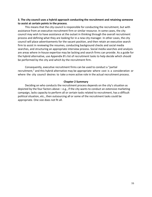#### **3. The city council uses a hybrid approach conducting the recruitment and retaining someone to assist at certain points in the process**.

This means that the city council is responsible for conducting the recruitment, but with assistance from an executive recruitment firm or similar resource. In some cases, the city council may wish to have assistance at the outset in thinking through the overall recruitment process and defining what they are looking for in a new city manager. In other cases, the city council will place advertisements for the vacant position, and then retain an executive search firm to assist in reviewing the resumes, conducting background checks and social media searches, and structuring an appropriate interview process. Social media searches and analysis are areas where in-house expertise may be lacking and search firms can provide. As a guide for the hybrid alternative, use Appendix B's list of recruitment tasks to help decide which should be performed by the city and which by the recruitment firm.

Consequently, executive recruitment firms can be used to conduct a "partial recruitment," and this hybrid alternative may be appropriate where cost is a consideration or where the city council desires to take a more active role in the actual recruitment process.

#### **Chapter 2 Summary**

Deciding on who conducts the recruitment process depends on the city's situation as depicted by the four factors above – e.g., if the city wants to conduct an extensive marketing campaign, lacks capacity to perform all or certain tasks related to recruitment, has a difficult political situation, etc., then outsourcing all or some of the recruitment tasks could be appropriate. One size does not fit all.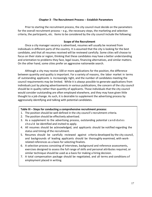#### **Chapter 3 - The Recruitment Process -- Establish Parameters**

Prior to starting the recruitment process, the city council must decide on the parameters for the overall recruitment process  $-e.g.,$  the necessary steps, the marketing and selection criteria, the participants, etc. Items to be considered by the city council include the following:

#### **Scope of the Recruitment**

Once a city manager vacancy is advertised, resumes will usually be received from individuals in different parts of the country. It is assumed that the city is looking for the best candidate, and that all resumes received will be reviewed carefully. Some cities will choose to focus on their state or region, thinking that these candidates may have a better understanding and orientation to problems they face, legal issues, financing alternatives, and similar matters. On the other hand, some cities prefer an aggressive nationwide search.

Although a city may receive 100 or more applications for the position, the difference between quantity and quality is important. For a variety of reasons, the labor market in terms of outstanding applicants is increasingly tight, and the number of candidates meeting the council requirements may be limited. While it is always possible to generate applications from individuals just by placing advertisements in various publications, the concern of the city council should be in quality rather than quantity of applicants. Those individuals that the city council would consider outstanding are often employed elsewhere, and they may have given little thought to a job change. As such, it is desirable to supplement the advertising process by aggressively identifying and talking with potential candidates.

#### **Table III – Steps for conducting a comprehensive recruitment process:**

- 1. The position should be well defined in the city council's recruitment criteria.
- 2. The position should be effectively advertised.
- 3. As a supplement to the advertising process, outstanding potential candidates should be identified and invited to apply.
- 4. All resumes should be acknowledged, and applicants should be notified regarding the status and timing of the recruitment.
- 5. Resumes should be carefully reviewed against criteria developed by the city council, and backgrounds of leading applicants should be thoroughly examined, with workrelated references as a basis for selecting finalists.
- 6. A selection process consisting of interviews, background and reference assessments, exercises designed to assess the full range of skills and personal attributes required, or similar technique should be used as a basis for making a hiring decision.
- 7. A total compensation package should be negotiated, and all terms and conditions of employment placed in writing.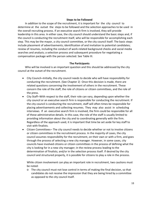#### **Steps to be Followed**

In addition to the scope of the recruitment, it is important for the city council to determine at the outset the steps to be followed and the selection approaches to be used in the overall recruiting process. If an executive search firm is involved, they will provide leadership in this area. In either case, the city council should understand the basic steps and, if the council is conducting the recruitment itself, who will be responsible for accomplishing each step. This may be the mayor, a city council committee, or the city council itself. The basic steps include placement of advertisements; identification of and invitation to potential candidates; review of resumes, including the conduct of work-related background checks and social media searches and analysis; a selection process and subsequent procedure for negotiating a compensation package with the person selected. See Table III.

#### **The Participants**

Who will be involved is an important question and this should be addressed by the city council at the outset of the recruitment.

- City Council**--**Initially, the city council needs to decide who will have responsibility for conducting the recruitment. (See Chapter 2) Once this decision is made, there are related questions concerning the involvement of others in the recruitment. These concern the role of the staff, the role of citizens or citizen committees, and the role of the press.
- City Staff**--**With respect to the staff, their role can vary, depending upon whether the city council or an executive search firm is responsible for conducting the recruitment. If the city council is conducting the recruitment, staff will often times be responsible for placing advertisements and collecting resumes. They may also assist in scheduling interviews. If an executive search firm is involved, the firm could be responsible for all of these administrative details. In this case, the role of the staff is usually limited to providing information about the city and to coordinating generally with the firm. Regardless of the approach used, it is important that time be set aside for key staff to visit with finalists.
- Citizen Committees**--** The city council needs to decide whether or not to involve citizens or citizen committees in the recruitment process. In the majority of cases, the city council assumes responsibility for the recruitment, on their own or with a firm, and goes through the process of selecting a new city manager. However, in some cases, city councils have involved citizens or citizen committees in the process of defining what the city is looking for in a new city manager; in the review process leading to the determination of finalists; and/or in the selection process itself. If desired by the city council and structured properly, it is possible for citizens to play a role in the process.

While citizen involvement can play an important role in recruitment, two cautions must be noted:

o The city council must not lose control in terms of making the final decision, so that candidates do not receive the impression that they are being hired by a committee as opposed to the city council itself.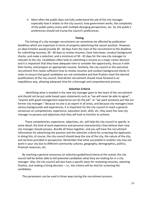o Most often the public does not fully understand the job of the city manager especially how it relates to the city council, how government works, the complexity of the public policy arena with multiple diverging perspectives, etc. So, the public's preferences should not trump the council's preferences.

#### **Timing**

The timing of a city manager recruitment can sometimes be affected by publication deadlines which are important in terms of properly advertising the vacant position. However, an ideal timeline would provide 30 - 60 days from the start of the recruitment to the deadline for submitting resumes; 30 - 60 days to review resumes, have interviews, conduct background checks, and make a selection; and a minimum of 30 - 45 days for the new city manager to relocate to the city. Candidates often look at submitting a resume as a major career decision and it is important that they have adequate time to consider the opportunity, discuss it with their family, and prepare an appropriate resume. Similarly, the city council or the executive recruitment firm needs sufficient time to review resumes and conduct background checks in order to ensure that good candidates are not overlooked and that finalists meet the desired qualifications of the city council. Overall,the recruitment should move forward in an expeditious way, allowing adequate time for a thorough and comprehensive process.

#### **Selection Criteria**

Identifying what is needed in the new city manager goes to the heart of the recruitment and should not be put aside based upon statements such as "we will never be able to agree", "anyone with good management experience can do the job", or "we want someone just like our former city manager." Because no one is an expert in all areas, and because city managers have various backgrounds and experiences, it is important for the city council to reach a general consensus on competencies, experience, education level, skills, etc. they want the new city manager to possess and objectives that they will look to him/her to achieve.

These competencies, experience, objectives, etc. will help the city council to specify, in some detail, the kind of work experience and personal characteristics they believe their new city manager should possess. Bundle all these together, and you will have the recruitment information for advertising the position and the selection criteria for screening the applicants. In doing this, of course, the city council should keep the size of the city, the nature of the city, and services provided in perspective. Remember that what succeeded in another city may not work in your city due to different community cultures, geography, demographics, politics, financial resources, etc.

By reaching a general consensus on selection guidelines/criteria at the outset, the city council will be better able to tell potential candidates what they are looking for in a city manager. Also, the city council will also have a specific basis for reviewing resumes, selecting finalists, and making a hiring decision – i.e., the criteria will be vital for screening the candidates.

The parameters can be used in three ways during the recruitment process: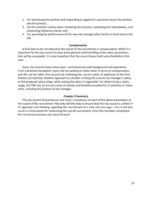- 1. For advertising the position and responding to applicant's questions about the position and the process;
- 2. For the selection criteria when reviewing the resumes, evaluating the interviewees, and conducting reference checks; and
- 3. For assessing the performance of the new city manager after he/she is hired and on the job.

#### **Compensation**

A final item to be considered at the outset of the recruitment is compensation. While it is important for the city council to have some general understanding of the salary parameters that will be acceptable, it is also important that the council leave itself some flexibility in this area.

Some city councils leave salary open, commensurate with background and experience. From a practical standpoint, every city has political or other limits in terms of compensation, and this can be taken into account by reviewing the current salary of applicants at the time finalists are selected. Another approach to consider is listing the current city manager's salary or the proposed salary range, while stating the salary is negotiable. For determining a salary range, the TML has an annual survey of salaries and benefits provided for 27 positions in Texas cities, including the position of city manager.

#### **Chapter 3 Summary**

The city council should discuss and reach a consensus on each of the above parameters at the outset of the recruitment. Not only will this help to ensure that the city council is unified in its approach and thinking regarding the recruitment of a new city manager, but it will also result in a framework for conducting the overall recruitment. Once this has been completed, the recruitment process can move forward.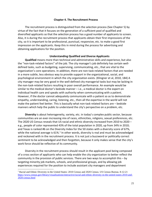#### **Chapter 4. The Recruitment Process**

The recruitment process is distinguished from the selection process (See Chapter 5) by virtue of the fact that it focuses on the generation of a sufficient pool of qualified and diversified applicants so that the selection process has a good number of applicants to screen. Also, it is during the recruitment process that applicants obtain their first impressions of the city, so it is important to be professional, punctual, responsive, etc. to make a good first impression on the applicants. Keep this in mind during the process for advertising and obtaining applications for the position.

#### **Understanding Qualified and Diverse Applicants**

**Qualified** means more than technical and administrative skills and experience, but also the "non-task-related factors" of the job. The city manager's job definitely has certain welldefined tasks, such as budgeting, supervising, communicating, etc., that are vital to the organization's core operations. In addition, there are non-task-related factors that are needed in a more subtle, less obvious way to provide support in the organizational, social, and psychological environment in which the city organization exists. (Klingner et al, 2010, 184) A city manager may be very good in the well-defined city managerial tasks but may be lacking in the non-task-related factors resulting in poor overall performance. An example would be similar to the medical doctor's bedside manner – i.e., a medical doctor is the expert on individual health care and speaks with authority when communicating with a patient. However, if the doctor cannot adequately communicate with a patient so as to demonstrate empathy, understanding, caring, listening, etc., then all the expertise in the world will not make the patient feel better. This is basically what non-task related factors are – bedside manners which help the public to understand the city's perspective on a problem, etc.

**Diversity** is about heterogeneity, variety, etc. in today's complex public sector, because communities are an ever-increasing mix of races, ethnicities, religions, sexual preferences, etc. The 2020 US Census reveals that US racial and ethnic diversity increased from 2010 to 2020 – e.g., people of color represented 43% of the total population in 2020, up from 34% in 2010; and Texas is ranked #6 on the Diversity Index for the 50 states with a diversity score of 67%, while the national average is 6[1](#page-21-0)%.<sup>1</sup> In other words, diversity is real and must be acknowledged and reckoned with in the recruitment process. It is not just a buzzword or politically correct sentiment to be acknowledged and then forgotten, because it only makes sense that the city's work force should be reflective of its community.

Diversity in the recruitment process should result in the applicant pool being composed of a cross section of applicants who can help enable the city organization to better reflect the community in the provision of public services. There are two ways to accomplish this – by targeting minority job markets, schools, and professional groups, and by allowing job experiences required for the position to include assistant city managers and department

<span id="page-21-0"></span> <sup>1</sup> Racial and Ethnic Diversity in the United States: 2010 Census and 2020 Census. US Census Bureau. 8-12-21 [https://www.census.gov/library/visualizations/interactive/racial-and-ethnic-diversity-in-the-united-states-2010-and-](https://www.census.gov/library/visualizations/interactive/racial-and-ethnic-diversity-in-the-united-states-2010-and-2020-census.html)[2020-census.html](https://www.census.gov/library/visualizations/interactive/racial-and-ethnic-diversity-in-the-united-states-2010-and-2020-census.html)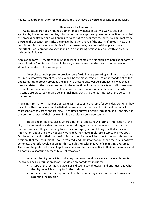heads. (See Appendix D for recommendations to achieve a diverse applicant pool. by ICMA)

#### **Relations with Applicants**

As indicated previously, the recruitment of a city manager is a two-way street. For applicants, it is important that key information be packaged and presented effectively, and that the process be flexible and well organized so as not to discourage the potential applicant from pursuing the vacancy. Similarly, the image that others have of the city is reflected in how the recruitment is conducted and this is a further reason why relations with applicants are important. Considerations to keep in mind in establishing positive relations with applicants include the following:

Application form -- Few cities require applicants to complete a standardized application form. If an application form is used, it should be easy to complete, and the information requested should be related to the vacant position.

Most city councils prefer to provide some flexibility by permitting applicants to submit a resume in whatever format they believe will be the most effective. From the standpoint of the applicant, this approach provides the ability to present past work experience in a way that is directly related to the vacant position. At the same time, it permits the city council to see how the applicant organizes and presents material in a written format, and the manner in which materials are prepared can also be an initial indication as to the real interest of the person in the position.

Providing information -- Serious applicants will not submit a resume for consideration until they have done their homework and satisfied themselves that the vacant position does, in fact, represent a good career opportunity. Often times, they will seek information about the city and the position as part of their review of this particular career opportunity.

This is one of the first places where a potential applicant will form an impression of the city. If the impression is that the recruitment is disorganized, that members of the city council are not sure what they are looking for or they are saying different things, or that sufficient information about the city is not easily obtained, they may simply lose interest and not apply. On the other hand, if their impression is that the city council has spent time considering the position, that the recruitment is well organized, and that information about the city is positive, complete, and effectively packaged, this can tilt the scales in favor of submitting a resume. These are the preferred types of applicants because they are selective in their job searches, and do not take a shotgun approach to all job vacancies.

Whether the city council is conducting the recruitment or an executive search firm is involved, a basic information packet should be prepared that includes:

- a copy of the recruiting guidelines indicating key objectives and priorities, and what the city council is looking for in the position
- ordinance or charter requirements if they contain significant or unusual provisions regarding the position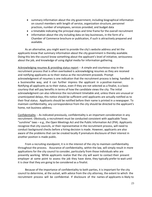- summary information about the city government, including biographical information on council members with length of service, organization structure, personnel practices, number of employees, services provided, and budget data
- a timetable indicating the principal steps and time frame for the overall recruitment
- information about the city including data on key businesses, in the form of a Chamber of Commerce brochure or publication, if such is attractively prepared and available.

As an alternative, you might want to provide the city's website address and let the applicants know that summary information about the city government is thereby available. Doing this lets the council know something about the applicant's level of initiative, seriousness about the job, and knowledge of using digital media for information gathering.

Acknowledging resumes & providing status report -- A simple and courteous step in the recruitment process that is often overlooked is acknowledging resumes as they are received and notifying applicants as to their status as the recruitment proceeds. Prompt acknowledgment of resumes is one indication that the recruitment process is being handled in a businesslike way, and it can further impress the applicant in a positive manner. Notifying all applicants as to their status, even if they are not selected as a finalist, is a basic courtesy that will pay benefits in terms of how the candidate views the city. The initial acknowledgment can also reference the recruitment timetable and, unless there are unusual or unanticipated delays, this notice should be sufficient until applicants are actually notified as to their final status. Applicants should be notified before their name is printed in a newspaper. To maintain confidentiality, any correspondence from the city should be directed to the applicant's home, not business address.

Confidentiality -- As indicated previously, confidentiality is an important consideration in any recruitment. Obviously, a recruitment must be conducted consistent with applicable Texas "sunshine" laws – e.g., the Open Meetings Act and the Public Information Act (PIA). Applicants recognize that city councils, or their representative in the recruitment process, will need to conduct background checks before a hiring decision is made. However, applicants are also aware of the problems that can be created locally if premature disclosure of their interest in another position is made public.

From a recruiting standpoint, it is in the interest of the city to maintain confidentiality throughout the process. Assurance of confidentiality, within the law, will simply result in more applications for the city council to consider, particularly from those individuals who are presently working. While applicants realize that the city will want to contact their present employer at some point to assess the job they have done, they typically prefer to wait until it is clear that they are going to be considered as a finalist.

Because of the importance of confidentiality to both parties, it is important for the city council to determine, at the outset, with advice from the city attorney, the extent to which the recruitment process will be confidential. If disclosure of the names of applicants is likely to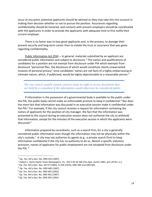occur at any point, potential applicants should be advised so they may take this into account in making their decision whether or not to pursue the position. Assurances regarding confidentiality should be honored, and contacts with present employers should be coordinated with the applicants in order to provide the applicants with adequate time to first notify their current employer.

There is no faster way to lose good applicants and, in the process, to damage their present security and long-term career than to violate the trust or assurance that was given regarding confidentiality.

Public Information Act (PIA) **--** In general, materials submitted by an applicant are considered public information and subject to disclosure.[2](#page-24-0) The names and qualifications of candidates for a position are not exempt from disclosure under PIA which exempts from disclosure "personnel files, the disclosure of which would constitute clearly unwarranted invasion of personal privacy" since candidates' names are not facts of a highly embarrassing or intimate nature, which, if publicized, would be highly objectionable to a reasonable person.<sup>[3](#page-24-1)</sup>

*The city council usually cannot contract away its right to access documents that are held by a consultant if the information would otherwise be considered public.*

If information in the possession of a governmental body is available to the public under the PIA, the public body cannot make an enforceable promise to keep it confidential.[4](#page-24-2) Nor does the mere fact that information was discussed in an executive session make it confidential under the PIA.<sup>[5](#page-24-3)</sup> For example, if the city council receives a request for information containing the names of applicants for the position of city manager, the fact that the information was presented to the council during an executive session does not authorize the city to withhold that information, except for the minutes of the executive session in which the applicants were discussed.<sup>[6](#page-24-4)</sup>

Information prepared by consultants, such as a search firm, for a city is generally considered public information even though the information may not be physically within the city's custody.<sup>[7](#page-24-5)</sup> A city may not authorize its agents (e.g., a private search firm) to keep information confidential if the city has no authority to do so. Absent a specific statutory provision, names of applicants for public employment are not excepted from disclosure under the PIA. [8](#page-24-6)

<span id="page-24-0"></span> $^{2}$  Op. Tex. Att'y Gen. No. ORD 455 (1987).

<span id="page-24-1"></span><sup>3</sup> *Hubert v. Harte-Hanks Texas Newspapers, Inc.,* 652 S.W.2d 546 (Tex.App.-Austin 1983, writ ref'dn.r.e.).

<span id="page-24-2"></span><sup>4</sup> Op. Tex. Att'y Gen. Nos. JM-37 (1983), H-258 (1974), ORD 585 and ORD 605.

<span id="page-24-3"></span> $<sup>5</sup>$  Op. Tex. Att'y Gen. No. ORD 485 (1987).</sup>

<span id="page-24-4"></span> $6$  Op. Tex. Att'v Gen. No. ORD 605 (1992).

<span id="page-24-5"></span> $7$  Op. Tex. Att'y Gen. No. ORD 462 (1987)

<span id="page-24-6"></span><sup>8</sup> Op. Tex. Att'y Gen. No. ORD 585 (1991)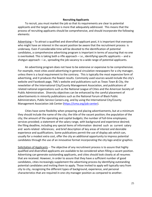#### **Recruiting Applicants**

To recruit, you must market the job so that its requirements are clear to potential applicants and the target audience is more that adequately addressed. This means that the process of recruiting applicants should be comprehensive, and should incorporate the following elements:

Advertising **--** To attract a qualified and diversified applicant pool, it is important that everyone who might have an interest in the vacant position be aware that the recruitment process is underway. Even if considerable time will be devoted to the identification of potential candidates, a comprehensive advertising program is important in terms of assuring that no one is overlooked. This is taking both a rifle approach – i.e., identifying specific applicants -- and a shotgun approach – i.e., spreading the job vacancy to a wide range of potential applicants.

An advertising program does not have to be extensive or expensive to be comprehensive. For example, most cities avoid advertising in general circulation newspapers for a city manager, unless there is a local requirement to the contrary. This is typically the most expensive form of advertising, and it produces the fewest results. Commonly used sources would include the city's website and Facebook page, TML's website and publications such as *Texas Town & City*, the newsletter of the International City/County Management Association, and publications of related national organizations such as the National League of Cities and the American Society of Public Administration. Diversity objectives can be enhanced by the careful placement of advertisements in minority publications such as the National Forum of Black Public Administrators, Public Service Careers.org, and by using the International City/County Management Association Job Center [\(https://icma.org/job-center\)](https://icma.org/job-center).

Cities have some flexibility when preparing and placing advertisements, but at a minimum they should include the name of the city; the title of the vacant position; the population of the city; the amount of the operating and capital budgets; the number of full-time employees; services provided; a statement of the salary range, with background and experience desired; the filing deadline, including any special items of information desired such as current salary and work-related references; and brief description of key areas of interest and desirable experience and qualifications. Some publications permit the use of display ads which can, usually for a modest extra cost, offer the city an additional opportunity to impress potential candidates through the use of an innovative format incorporating the city logo and/or graphics.

Solicitation of Applicants -- The objective of any recruitment process is to assure that highly qualified and diversified applicants are available to be considered when filling a vacant position. Advertising can generate outstanding applicants, and cities should look closely at all resumes that are received. However, in order to assure that they have a sufficient number of good candidates, cities increasingly supplement the advertising process by identifying outstanding potential candidates and inviting them to apply. Those invited to apply will typically vary from city to city, recognizing the different types of background, experience, and personal characteristics that are required in one city manager position as compared to another.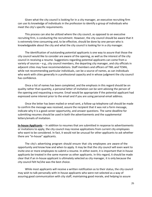Given what the city council is looking for in a city manager, an executive recruiting firm can use its knowledge of individuals in the profession to identify a group of individuals who meet the city's specific requirements.

This process can also be utilized where the city council, as opposed to an executive recruiting firm, is conducting the recruitment. However, the city council should be aware that it is extremely time consuming and, to be effective, should be done by one person who is knowledgeable about the city and what the city council is looking for in a city manager.

The identification of outstanding potential applicants is one way to assure that those the city council would like to consider are aware of the opening, as well as the interest of the city council in receiving a resume. Suggestions regarding potential applicants can come from a variety of sources  $-e.g.,$  city council members, the departing city manager, and city officials in adjacent cities may have recommendations. Staff members and officers of TML and TCMA, while not recommending particular individuals, can be a source of names, as can individuals who work with cities generally in a professional capacity and in whose judgment the city council has confidence.

Once a list of names has been completed, and the emphasis in this regard should be on quality rather than quantity, a personal letter of invitation can be sent advising the person of the opening and requesting a resume. Email would be appropriate if the potential applicant had expressed some interest prior to the email and if you are using personal email address.

Once the letter has been mailed or email sent, a follow-up telephone call should be made to confirm the message was received, assure the recipient that it was not a form message, indicate why it is a good career opportunity, and answer questions. The same deadline for submitting resumes should be used in both the advertisements and the supplemental letters/emails of invitation.

**In-house Applicants** -- In addition to resumes that are submitted in response to advertisements or invitations to apply, the city council may receive applications from current city employees who want to be considered. In fact, it would not be unusual for other applicants to ask whether there are "in-house" applicants.

The city's advertising program should ensure that city employees are aware of the opportunity and know how and when to apply. It may be that the city council will even want to invite one or more employees to submit a resume. In either event, it is important that in-house applicants be treated in the same manner as other applicants. In this regard, it should be made clear that if an in-house applicant is ultimately selected as city manager, it is only because the city council felt he/she was the best choice.

While most applicants will receive a written notification as to their status, the city council may wish to talk personally with in-house applicants who were not selected as a way of assuring good communication with city staff, maintaining good morale, and helping to assure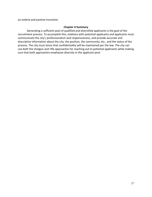an orderly and positive transition.

#### **Chapter 4 Summary**

Generating a sufficient pool of qualified and diversified applicants is the goal of the recruitment process. To accomplish this, relations with potential applicants and applicants must communicate the city's professionalism and responsiveness, and provide accurate and descriptive information about the city, the position, the community, etc., and the status of the process. The city must stress that confidentiality will be maintained per the law. The city can use both the shotgun and rifle approaches for reaching out to potential applicants while making sure that both approaches emphasize diversity in the applicant pool.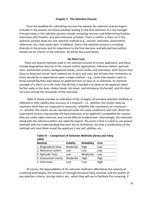#### **Chapter 5 - The Selection Process**

Once the deadline for submitting resumes has passed, the selection process begins. Included in the process are those activities leading to the final selection of a city manager. Principal steps in the selection process include reviewing resumes and determining finalists, interviews with finalists, and post-interview activities. There is neither a short cut in the selection process steps nor one selection method (e.g., resume, interview, assessments, references, etc.) that works best. In addition, vital to the selection process is including diversity in the process and its importance to the final decision, and why partisan politics should not be a factor in the selection. All will be discussed below.

#### **No Short Cuts**

There are several methods used in the selection process to screen applicants, and these include biographical data [as in the resume and/or application], reference letters, aptitude tests, assessment centers, background checks, social media, and interviews, both face-to-face (face-to-face) and virtual. Each method has its pros and cons, but all have their limitations so there should be no dependence upon a single method – e.g., some interviewers claim to know everything they want about an applicant from an hour or so interview. An extreme example of a short cut is the claim that all that is needed is to observe the applicant when he/she walks in the door, shakes hands, sits down, and introduces his/herself, and this does not even include the remainder of the interview.

Table IV below provides an indication of the strengths of standard selection methods as reflected in their validity (the accuracy of a measure – i.e., whether the results really do represent what they are supposed to measure), reliability (the consistency of a measure – i.e., whether the results can be reproduced under the same conditions) and cost. While the assessment centers may provide the best indication of an applicant's probability for success, they are costly, labor intensive, and can be difficult to administer. Interestingly, the interview along with the reference letters are rated the lowest. The point is that it is best to use several methods with the understanding that each has its limitations, but that a combination of the methods will most likely reveal the applicant's real self, abilities, etc.

| 1993)                |          |                    |      |
|----------------------|----------|--------------------|------|
| <b>Method</b>        | Validity | <b>Reliability</b> | Cost |
| 1. Biographical Data | Moderate | High               | Low  |
| 2. Reference Letters | Low      | Low                | Low  |
| 3. Aptitude Tests    | Low      | Moderate           | Low  |
| 4. Assessment Center | Moderate | High               | High |
| 5. Interviews        | .ow      | Low                | High |

#### **Table IV -- Comparison of Selection Methods (Arvey and Faley 1993)**

Of course, the dependability of the selection method is affected by the capacity of screening participants, the amount of training/instruction they received, and the quality of any selection criteria, scoring rubrics, etc., which they will use to facilitate the screening. If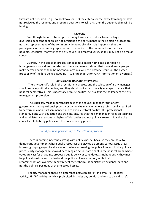they are not prepared – e.g., do not know (or use) the criteria for the new city manager; have not reviewed the resumes and prepared questions to ask; etc., then the dependability will be lacking.

#### **Diversity**

Even though the recruitment process may have successfully achieved a large, diversified applicant pool, this is not sufficient if the participants in the selection process are not also representative of the community demographically. It is important that the participants in the screening represent a cross section of the community as much as possible. Of course, many times the city council is already diverse, so this may not be a major concern.

Diversity in the selection process can lead to a better hiring decision than if a homogeneous body does the selection, because research shows that more diverse groups make better decisions than homogeneous groups. And this likewise results in the higher probability of the hire being a good fit. (See Appendix D for ICMA information on diversity.)

#### **Politics in the Recruitment Process**

The city council's role in the recruitment process and the selection of a city manager should remain politically neutral, and they should not expect the city manager to share their political perspectives. This is necessary because political neutrality is the hallmark of the city management profession.

The singularly most important premise of the council-manager form of city government is non-partisanship behavior by the city manager who is professionally required to perform in a non-partisan manner and to avoid electoral politics. This professional standard, along with education and training, ensures that the city manager relies on technical and administrative reasons in his/her official duties and not political reasons. It is the city council's role to bring politics into the policy-making process.

#### *Avoid political partisanship in the selection process.*

There is nothing inherently wrong with politics per se, because they are basic to democratic government where public resources are divvied up among various issue areas, interest groups, geographical areas, etc., when addressing the public interest. In this political process, city managers must avoid becoming an actual participant in the political arena where votes are cast for or against proposed public policy or candidates. Simultaneously, they must be politically astute and understand the politics of any situation, while their recommendations overwhelmingly reflect the technical/administrative evidence/data and not the political positions of their elected bosses.

For city managers, there is a difference between big "P" and small "p" political activity. Big "P" activity, which is prohibited, includes any conduct related to a candidate's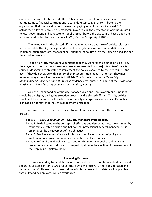campaign for any publicly elected office. City managers cannot endorse candidates, sign petitions, make financial contributions to candidate campaigns, or contribute to the organization that fund candidates. However, engaging in public issues, i.e., small "p" activities, is allowed, because city managers play a role in the presentation of issues related to local government and advocate for [public] issues before the city council based upon the facts and as directed by the city council. (*PM*, Martha Perego, April 2021)

The point is to let the elected officials handle the give-and-take of political electoral processes while the city manager addresses the fact/data-driven recommendations and implementation processes. Managers must neither let politics drive their decision-making nor their problem-solving.

To top it off, city managers understand that they work for the elected officials – i.e., the mayor and the city council are their boss as represented by a majority vote of the city council. Managers are obligated to implement the policies adopted by the city council. And even if they do not agree with a policy, they must still implement it, or resign. They must never sabotage the will of the elected officials. This is spelled out in the *Texas City Management Association Code of Ethics* as evidenced by Tenets 1, 5, and 7 of the *TCMA Code of Ethics* in Table V (See Appendix E – *TCMA Code of Ethics*).

And this understanding of the city manager's role and non-involvement in politics should be on display during the selection process by the elected officials. That is, politics should not be a criterion for the selection of the city manager since an applicant's political leanings do not matter in the city management profession.

Bottomline for the city council is not to inject partisan politics into the selection process.

#### **Table V --** *TCMA Code of Ethics* **– Why city managers avoid politics.**

Tenet 1. Be dedicated to the concepts of effective and democratic local government by responsible elected officials and believe that professional general management is essential to the achievement of this objective.

Tenet 5. Provide elected officials with facts and advice on matters of policy and implement local government policies adopted by elected officials.

Tenet 7. Refrain from all political activities which undermine public confidence in professional administrators and from participation in the election of the members of the employing legislative body.

#### **Reviewing Resumes**

The process leading to the determination of finalists is extremely important because it separates all applicants into two groups--those who will receive further consideration and those who won't. Unless this process is done with both care and consistency, it is possible that outstanding applicants will be overlooked.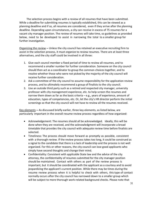The selection process begins with a review of all resumes that have been submitted. While a deadline for submitting resumes is typically established, this can be viewed as a planning deadline and if so, all resumes are considered, even if they arrive after the planning deadline. Depending upon circumstances, a city can receive in excess of 75 resumes for a vacant city manager position. The review of resumes will take time, so guidelines as provided below, need to be developed to assist in narrowing the total to a smaller group for further investigation.

Organizing the review **--** Unless the city council has retained an executive recruiting firm to assist in the selection process, it must organize to review resumes. There are at least three alternatives, and the city staff could be involved in all three:

- 1. Give each council member a fixed period of time to review all resumes, and to recommend a smaller number for further consideration. Someone on the city council should then act as a coordinator to group the common choices together, and to resolve whether those who were not picked by the majority of the city council will receive further consideration.
- 2. Ask a committee of the city council to assume responsibility for the application review process, and to ultimately recommend a group of finalists to the city council.
- 3. Use an outside third party such as a retired and respected city manager, university professor with city management experience, etc. to help screen the resumes and narrow them down as far as the basic criteria  $-e.g.,$  years of experience, amount of education, types of competencies, etc. Or, let the city's HR director perform the initial screenings so that the city council will not have to review all the resumes received.

Key elements **--** As discussed briefly earlier, three key elements, as listed below, are particularly important in the overall resume review process regardless of how organized:

- Acknowledgement: The resumes should all be acknowledged. Ideally, this will be done when they are received, and the acknowledgment will incorporate a broad timetable that provides the city council with adequate review time before finalists are selected.
- Timeliness: The process should move forward as promptly as possible, consistent with a thorough review. If the review process takes too long, it could be construed as a signal to the candidate that there is a lack of leadership and the process is not well organized. For this or other reasons, the city council can lose good applicants who simply have second thoughts and change their mind.
- Confidentiality: Consistent with applicable State law and the advice of the city attorney, the confidentiality of resumes submitted for the city manager position should be maintained. Contact with others as part of the review process is important, but it should be coordinated with the applicant as a courtesy and to avoid jeopardizing the applicant's current position. While there may be times during the resume review process when it is helpful to check with others, this type of contact normally occurs after the city council has narrowed down to a smaller group which will be subject to more thorough work-related background checks. Please note that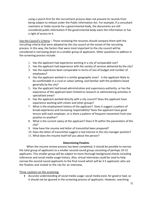using a search firm for the recruitment process does not prevent its records from being subject to release under the Public Information Act. For example, if a consultant maintains or holds records for a governmental body, the documents are still considered public information if the governmental body owns the information or has a right of access to it.

Use the Council's Criteria **--** Those reviewing the resumes should compare them with the recruiting criteria that were adopted by the city council at the outset of the recruiting process. In this way, the factors that were most important to the city council will be considered in narrowing down to a smaller group of applicants. Other questions to address in the screening process include:

- 1. Has the applicant had experience working in a city of comparable size?
- 2. Has the applicant had experience with the variety of services delivered by the city?
- 3. Has the experience been comparable in terms of size of budget and number of employees?
- 4. Has the applicant worked in a similar geographic area? Is the applicant likely to be comfortable in a rural or urban setting, and familiar with the problems faced generally by the city?
- 5. Has the applicant had broad administrative and supervisory authority, or has the experience of the applicant been limited to research or administering activities in specialized areas?
- 6. Has the applicant worked directly with a city council? Does the applicant have experience working with citizen and other groups?
- 7. What is the employment history of the applicant? Does it suggest a pattern of broad experience and increasing responsibility? Does the applicant have good tenure with each employer, or is there a pattern of frequent movement from one position to another?
- 8. What is the current salary of the applicant? Does it fit within the parameters of the city?
- 9. How have the resume and letter of transmittal been prepared?
- 10. Does the letter of transmittal suggest a real interest in the city manager position?
- 11. What does the resume itself tell you about the person?

#### **Determining Finalists**

When the resume review process has been completed, it should be possible to narrow the total group of applicants to a smaller second-round group consisting of perhaps 10-15 applicants. This smaller group will be subject to more thorough background checks including references and social media usage history. Also, virtual interviews could be used to help narrow the second-round applicants to the final round which will be 3-5 applicants who are the finalists and invited to the city for an interview.

Three cautions on the screening:

• Accurate understanding of social media usage: social media exist, for good or bad, so it should not be ignored in the screening process of applicants. However, searching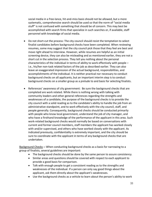social media in a free-lance, hit-and-miss basis should not be allowed, but a more systematic, comprehensive search should be used so that the norm of "social media stuff" is not confused with something that should be of concern. This may best be accomplished with search firms that specialize in such searches or, if available, staff personnel with knowledge of social media.

- Do not short-cut the process: The city council should resist the temptation to select finalist candidates before background checks have been completed. When reviewing resumes, some may suggest that the city council pick those that they feel are best and move right ahead to interview. However, while resumes are helpful as an initial screening device, they can also be misleading and as mentioned earlier, they are not a short cut in the selection process. They tell you nothing about the personal characteristics of the individual in terms of ability to work effectively with people – i.e., his/her non-task related factors of the job as described earlier. They can also leave an exaggerated impression of the actual background, responsibilities, and accomplishments of the individual. It is neither practical nor necessary to conduct background checks on all applicants, but an important interim step is to conduct background checks on a smaller group as a prelude to and basis for selecting finalists.
- References' awareness of city government: Be sure the background checks that are completed are work related. While there is nothing wrong with talking with community leaders and other general references regarding the strengths and weaknesses of a candidate, the purpose of the background checks is to provide the city council with a solid reading as to the candidate's ability to handle the job from an administrative standpoint, and to work effectively with the city council, staff, and people generally. Consequently, background checks should be conducted primarily with people who know local government, understand the job of city manager, and who have a firsthand knowledge of the performance of the applicant in this area. Such work-related background checks would normally be based on conversations with current and former council members, staff members the applicant has worked closely with and/or supervised, and others who have worked closely with the applicant. As indicated previously, confidentiality is extremely important, and the city should be sure to coordinate with the applicant in terms of any background checks that are undertaken.

Background Checks **--** When conducting background checks as a basis for narrowing to a group of finalists, several guidelines are important:

- The background checks should be done by the same person to assure consistency.
- Similar areas and questions should be covered with respect to each applicant to provide a good basis for comparison.
- Talk with enough people to get a consistent reading as to the strengths and weaknesses of the individual. If a person can only say good things about the applicant, ask them directly about the applicant's weaknesses.
- Use the background checks as a vehicle to learn about the person's ability to work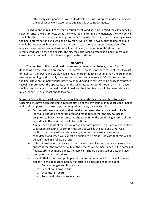effectively with people, as well as to develop a more complete understanding of the applicant's work experience and specific accomplishments.

Based upon the result of the background checks and keeping in mind the city council's selection criteria which reflects what the city is looking for in a city manager, the city council should be able to narrow to a smaller group of 3-5 finalists. The city council obviously makes the final determination as to who and how many will be interviewed, but the finalist group should be large enough to expose the city council to an array of personalities, diversified applicants, competencies, and skill sets. In most cases, a minimum of 3-5 should be interviewed face-to-face as finalists. The city may also wish to establish a back-up group in case some of the finalists decide not to pursue the position.

#### **Interviews**

The number of first round finalists can vary, as mentioned before, from 10 to 15 depending on the council's preference. The normal process is for there to be at least two sets of finalists – the first round would have a much more in-depth screening than the preliminary resume screening, and possibly include short virtual interviews– e.g., 30 minutes -- prior to the final cut. A preliminary virtual interview should expedite the screening process by better revealing more about the applicants than the resumes, background checks, etc. Then once the final cut is made to the final round of finalists, the interviews should be face-to-face and much longer – e.g., at least one to two hours.

Steps for Contacting Finalists and Scheduling Interviews (both virtual and face-to-face) **--** Once finalists have been selected, a representative of the city council should call each finalist and confirm appropriate next steps. Among other things, the city should:

- Confirm with each individual that he/she has been selected as a finalist. Each individual should be congratulated and made to feel that the city council is delighted to have their resume. At the same time, the continuing interest of the individual in the position should be confirmed.
- Advise each finalist of the nature of the interview process, e.g., virtual and/or face to face; entire council or committee; etc., as well as the date and time. Also confirm how many will be interviewed, whether there are any in-house candidates, and when you expect a decision to be made. Indicate that this will all be confirmed in a follow-up letter.
- Unless State law or the advice of the city attorney dictates otherwise, assure the applicant that the confidentiality of the process will be maintained. If the names of finalists are to be made public, the applicant should be advised of this, and given the opportunity to withdraw.
- Indicate that a more complete packet of information about the city will be mailed directly to the applicant's home. Material to be included might include:
	- 1. Current budget and financial report
	- 2. Recent bond prospectus
	- 3. Organization chart
	- 4. Personnel rules and regulations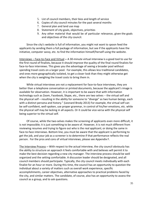- 5. List of council members, their bios and length of service
- 6. Copies of city council minutes for the past several months
- 7. General plan and land use map
- 8. Statement of city goals, objectives, priorities
- 9. Any other material that would be of particular relevance, given the goals and objectives of the city council.

Since the city's website is full of information, you might not want to spoon feed the applicants by sending them a full package of information, but see if the applicants have the initiative, computer savvy, etc. to find the information himself/herself using the website.

Interviews – Face-to-Face and Virtual **--** A 30-minute virtual interview is a good tool to use for the first round of finalists, because it should improve the quality of the final round finalists for face-to-face interviews. This gives you the advantage of seeing a broader pool without spending travel costs on a larger pool. For example, this allows less traditional candidates, and ones more geographically isolated, to get a closer look than they might otherwise get when the city is weighing the travel costs to bring them in.

While virtual interviews are not a replacement for face-to-face interviews, they are better than a telephone conversation or printed documents, because the applicant's image is available for observation. However, it is important to be aware that with information technology such as Zoom, Facebook, Skype, etc., there are two selves -- the virtual self and the physical self – resulting in the ability for someone to "diverge" as two human beings, each with a distinct persona and history." (Leonard Brody 2013) For example, the virtual self can be self-confident, well-spoken, use proper grammar, in control of his/her emotions, etc. while the physical self may be lacking in all aspects. Or it could be vice-versa with the physical self being superior to the virtual self.

Of course, while the two-selves makes the screening of applicants even more difficult, it is not impossible; it is just something to be aware of. However, it is not much different from reviewing resumes and trying to figure out who is the real applicant; or doing the same in face-to-face interviews. Bottom line, you must be aware that the applicant is performing to get the job, and your job as a screener is to determine if that performance reflects the real person. For the pros and cons of virtual interviews, please see Appendix F.

The Interview Process **--** With respect to the actual interview, the city council obviously has the ability to structure an approach it feels comfortable with and believes will permit it to make the best decision regarding a new city manager. The interview process should be well organized and the setting comfortable. A discussion leader should be designated, and all council members should participate. Typically, the city council meets individually with each finalist for an hour or more. During this time, the council has an opportunity to question the individual about a variety of matters such as overall work experience, specific accomplishments, career objectives, alternative approaches to practical problems faced by the city, and similar matters. The candidate, of course, also has an opportunity to assess the council as a group, and to ask questions.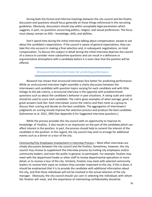During both the formal and informal meetings between the city council and the finalist, discussion and questions should focus generally on those things referenced in the recruiting guidelines. Obviously, discussions should stay within acceptable legal parameters which suggests, in part, no questions concerning politics, religion, and sexual preferences. The focus must always remain on KSA – knowledge, skills, and abilities.

Don't spend time during the initial interview talking about compensation, except to ask about the candidate's expectations. If the council is aware of general expectations, they can take this into account in making a final selection and, in subsequent negotiations, on total compensation. To discuss this subject in detail during the initial interview deprives the council of a chance to consider more substantive questions and can result in a defensive or argumentative atmosphere with a candidate before it is even clear that the position will be offered.

*Structured interviews fare better for predicting performance.*

Research has shown that structured interviews fare better for predicting performance. While an unstructured interview might resemble a chatty discussion between the interviewers and candidate with question topics varying for each candidate and with little linkage to the job criteria, a structured interview is the opposite with predetermined questions such as about the candidate's behavior in past situations. A rating scale and rubric should be used to score each candidate. The rubric gives examples of what average, good, or great answers look like. Each interviewer scores the rubrics and then meet as a group to discuss their scoring and decide on the best candidate. The aggregation of interviewers' judgments on scoring should improve the selection process and produce the best candidate. (Kahneman et al. 2021, 309) (See Appendix G for Suggested interview questions.)

While the process provides the city council with an opportunity to improve its knowledge of finalists, it also results in an impression on the part of the candidate,which can affect interest in the position. In part, the process should help to cement the interest of the candidate in the position. In this regard, the city council may wish to arrange for additional events such as a dinner or a tour of the city.

Community/City Employees Involvement in Interview Process **--** Most often interviews are simply discussions between the city council and the finalists. Sometimes, however, the city council may choose to supplement the interview process by inviting city employees and/or community leaders, and even the public in general, to participate. For example, finalists may meet with the department heads or other staff to review departmental operations in more detail, or to receive a tour of the city. Similarly, finalists may meet with selected community leaders to receive their input on matters they consider important to the city. If this is done, it should be emphasized that it is to provide the candidate with additional information about the city, and that these individuals will not be involved in the actual selection of the city manager. Obviously, the city council should use care in selecting the individuals with whom the finalists will meet, and the importance of maintaining confidentiality should be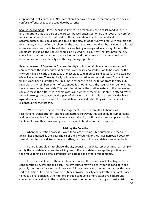emphasized to all concerned. Also, care should be taken to assure that the process does not confuse, offend, or take the candidate by surprise.

Spouse Involvement **--** If the spouse is invited to accompany the finalist candidate, it is also important that this part of the process be well organized. While the spouse may prefer to have some free time, the interests of the spouse should be determined and accommodated. This could include a tour of the city, an opportunity to talk with realtors and visit homes, and a briefing on schools in the area. Spouses should not be included in a formal interview process or made to feel like they are being interrogated in any way. As with the candidate, including the spouse should be viewed as a courtesy that lets both the city council and the spouse get to know each other, and should result in the same positive impression concerning the city and the city manager position.

Reimbursement of Expenses **--** Confirm the city's policy on reimbursement of expenses in conjunction with the interview. While this is obviously a policy decision to be made by the city council, it is clearly the practice of most cities to reimburse candidates for any actual outof-pocket expenses. These typically include transportation, room, and board. Some of the finalists may have submitted their resume in response to an invitation from the city but, regardless, city reimbursement of expenses is another way the council can demonstrate their interest in the candidate.This tends to reinforce the positive nature of the process and can also make the difference in some cases as to whether the finalist is able to attend. When there is strong reluctance on the part of the city council in this area, some cities have agreed to share expenses with the candidate or have indicated they will reimburse all expenses after the first trip.

With respect to actual travel arrangements, the city can offer to handle all reservations, transportation, and related matters. However, this can be quite cumbersome and time consuming for the city. In most cases, the city confirms the time and place, and lets the finalist make their own arrangements. Finalists tend to prefer this approach.

#### **Making the Selection**

When the selection process is over, there are three possible outcomes--either one finalist has emerged as the clear choice of the city council, or they have narrowed down to several that they would like to pursue further, or none of the candidates were acceptable.

If there is one clear first choice, the city council, through its representative, can simply notify the candidate, confirm the willingness of the candidate to accept the position, and then move to finalize a total compensation package and other arrangements.

If there are still two or three applicants to whom the council would like to give further consideration, several options exist. The city council may wish to invite the candidate and possibly the spouse for a second interview. A longer interview, coupled perhaps with some sort of function like a dinner, can often times provide the city council with the insight it needs to make a final decision. Other options include conducting more extensive background checks with individuals in the candidate's current community or making an on-site visit to the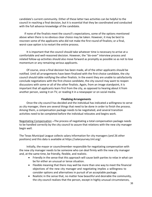candidate's current community. Either of these latter two activities can be helpful to the council in reaching a final decision, but it is essential that they be coordinated and conducted with the full advance knowledge of the candidate.

If none of the finalists meet the council's expectations, some of the options mentioned above when there is no obvious clear choice may be taken. However, it may be best to rescreen some of the applicants who did not make the first round of finalists; or a final, worst-case option is to restart the entire process.

It is important that the council should take whatever time is necessary to arrive at a comfortable and well-reasoned decision. However, the "do-over" interview process and related follow-up activities should also move forward as promptly as possible so as not to lose momentum or any remaining serious applicants.

Of course, once a final decision has been made, all of the other applicants should be notified. Until all arrangements have been finalized with the first-choice candidate, the city council should table notifying the other finalists. In the event they are unable to satisfactorily conclude negotiations with the first-choice candidate, the city council may want to reopen discussions with some or all of the other finalists. Again, from an image standpoint, it is important that all applicants learn first from the city, as opposed to hearing about it from another person, seeing it on TV, or reading it in a newspaper or on social media.

#### **Finalizing Arrangements**

Once the city council has decided and the individual has indicated a willingness to serve as city manager, there are several things that need to be done in order to finish the process. Among them, a compensation package needs to be negotiated, and several transition activities need to be completed before the individual relocates and begins work.

Negotiating Compensation **--**The process of negotiating a total compensation package needs to be handled correctly by the city council to assure that relations with the new city manager begin well.

The Texas Municipal League collects salary information for city managers (and 26 other positions) and this data is available at https://salarysurvey.tml.org/.

Initially, the mayor or councilmember responsible for negotiating compensation with the new city manager needs to be someone who can deal firmly with the new city manager and, at the same time, be friendly, flexible, and realistic.

- Friendly in the sense that this approach will cause both parties to relax in what can be for either an unusual or tense situation.
- Flexible meaning that there may well be more than one way to meet the financial objectives of the new city manager and negotiating implies a willingness to consider options and alternatives in pursuit of an acceptable package.
- Realistic in the sense that, no matter how beautiful and desirable the community, the city council realizes that the person, except in highly unusual circumstances,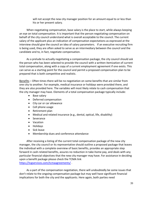will not accept the new city manager position for an amount equal to or less than his or her present salary.

When negotiating compensation, base salary is the place to start, while always keeping an eye on total compensation. It is important that the person negotiating compensation on behalf of the city council understand what is overall acceptable to the council. The current salary of the applicant plus an indication of compensation expectations as expressed at the interview should give the council an idea of salary parameters. If an executive recruiting firm is being used, they are often asked to serve as an intermediary between the council and the candidate and to, in fact, negotiate compensation.

As a prelude to actually negotiating a compensation package, the city council should ask the person who has been selected to provide the council with a written itemization of current total compensation, along with a copy of a current employment agreement if one exists. This can serve as a starting point for the council and permit a proposed compensation plan to be prepared that is both competitive and realistic.

Benefits – Often times there will be no negotiation on some benefits that are similar from one city to another. For example, medical insurance or holidays were provided there, and they are also provided here. The variables will most likely relate to cash compensation that the city manager may have. Elements of a total compensation package typically include:

- Base salary
- Deferred compensation
- City car or car allowance
- Cell phone usage
- Retirement plan
- Medical and related insurance (e.g., dental, optical, life, disability)
- Severance
- Vacation
- Holidays
- Sick leave
- Membership dues and conference attendance

After receiving a listing of the current total compensation package of the new city manager, the city council or its representative should outline a proposed package that leaves the individual with a complete overview of basic benefits, provides an appropriate step forward in cash-related benefits, assures no reduction in take-home pay, and deals with any particular financial objectives that the new city manager may have. For assistance in deciding upon a benefit package please check the TCMA link <https://tcgservices.com/tcmaagreements/> .

As a part of the compensation negotiation, there will undoubtedly be some issues that don't relate to the ongoing compensation package but may well have significant financial implications for both the city and the applicants. Here again, both parties need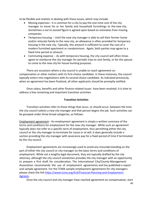to be flexible and realistic in dealing with these issues, which may include:

- Moving expenses-- it is common for a city to pay the one-time cost of the city manager to move his or her family and household furnishings to the new city. Sometimes a *not to exceed* figure is agreed upon based on estimates from moving companies.
- Temporary housing -- Until the new city manager is able to sell their former home and/or relocate family to the new city, an allowance is often provided for temporary housing in the new city. Typically, this amount is sufficient to cover the cost of a modern furnished apartment or condominium. Again, both parties may agree to a fixed time period or amount.
- Commuting expense -- As with temporary housing, the city council will often times agree to reimburse the city manager for periodic trips to visit family, or for the spouse to come to the new city for house-hunting purposes.

There are occasions where a city council is unable to reach agreement on compensation or other matters with its first-choice candidate. In these instances, the council typically enters into negotiations with its second-choice candidate. As indicated previously, when an agreement has been finalized, all other applicants should be promptly notified.

Once salary, benefits and other finance-related issues have been resolved, it is time to address a few remaining and important transition activities.

#### **Transition Activities**

Transition activities refer to those things that occur, or should occur, between the time the city council selects a new city manager and that person begins the job. Such activities can be grouped under three broad categories, as follows:

Employment agreement-- An employment agreement is simply a written summary of the terms and conditions for employment for the new city manager. While such an agreement typically does not refer to a specific term of employment, thus permitting either the city council or the city manager to terminate for cause or at will, it does generally include a section providing the city manager with severance pay for a fixed period of time if terminated by the city council.

Employment agreements are increasingly used to avoid any misunderstanding on the part of either the city council or city manager on the basic terms and conditions of employment. While not a lengthy legal document, they are typically drafted by the city attorney, although the city council sometimes provides the city manager with an opportunity to prepare a first draft for consideration. The International City/County Management Association recommends the use of employment agreements and has published a report and sample agreement. For the TCMA sample employment agreements for city managers please check the lin[k https://www.tcma.org/414/Financial-Planning-and-Employment-](https://www.tcma.org/414/Financial-Planning-and-Employment-Agreem)[Agreem.](https://www.tcma.org/414/Financial-Planning-and-Employment-Agreem)

Once the city council and city manager have reached agreement on compensation, start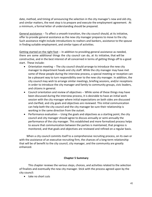date, method, and timing of announcing the selection in the city manager's new and old city, and similar matters, the next step is to prepare and execute the employment agreement. At a minimum, a formal letter of understanding should be prepared.

General assistance -- To affect a smooth transition, the city council should, at its initiative, offer to provide general assistance as the new city manager prepares to move to the city. Such assistance might include introductions to realtors and bankers, assistance to the spouse in finding suitable employment, and similar types of activities.

Getting started on the right foot -- In addition to providing general assistance as needed, there are some additional things the city council can do, at its initiative, that will be constructive, and in the best interest of all concerned in terms of getting things off to a good start. These include:

- Orientation meeting -- The city council should arrange to introduce the new city manager to department heads and city staff. While the city manager may have met some of these people during the interview process, a special meeting or reception can be a pleasant way to turn responsibility over to the new city manager. In addition, the city council may wish to arrange similar meetings, briefing sessions, and/or receptions in order to introduce the city manager and family to community groups, civic leaders, and citizens in general.
- Council orientation and review of objectives -- While some of these things may have been discussed during the interview process, it is desirable to have an initial work session with the city manager where initial expectations on both sides are discussed and clarified, and city goals and objectives are reviewed. This initial communication can help both the city council and the city manager be sure their relationship is working in the same direction from the outset.
- Performance evaluation -- Using the goals and objectives as a starting point, the city council and city manager should agree to discuss annually or semi-annually the performance of the city manager. This established and more formalized process helps to assure that communication between the parties is maintained, that progress is monitored, and that goals and objectives are reviewed and refined on a regular basis.

When a city council commits itself to a comprehensive recruiting process, on its own or with the assistance of an executive recruiting firm, the chances of a long-term relationship that will be of benefit to the city council, city manager, and the community are greatly enhanced.

#### **Chapter 5 Summary**

This chapter reviews the various steps, choices, and activities related to the selection of finalists and eventually the new city manager. Stick with the process agreed upon by the city council:

• take no short cuts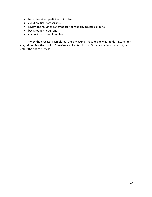- have diversified participants involved
- avoid political partisanship
- review the resumes systematically per the city council's criteria
- background checks, and
- conduct structured interviews.

When the process is completed, the city council must decide what to do - i.e., either hire, reinterview the top 2 or 3, review applicants who didn't make the first-round cut, or restart the entire process.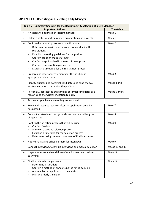# **APPENDIX A—Recruiting and Selecting a City Manager**

| Table V - Summary Checklist for the Recruitment & Selection of a City Manager |                                                                                                                                                                                                                                                                                                                                                                                               |                  |
|-------------------------------------------------------------------------------|-----------------------------------------------------------------------------------------------------------------------------------------------------------------------------------------------------------------------------------------------------------------------------------------------------------------------------------------------------------------------------------------------|------------------|
|                                                                               | <b>Important Actions</b>                                                                                                                                                                                                                                                                                                                                                                      | <b>Timetable</b> |
|                                                                               | If necessary, designate an interim manager                                                                                                                                                                                                                                                                                                                                                    | Week 1           |
|                                                                               | Obtain a status report on related organization and projects                                                                                                                                                                                                                                                                                                                                   | Week 1           |
| $\bullet$                                                                     | Confirm the recruiting process that will be used<br>Determine who will be responsible for conducting the<br>recruitment<br>Establish recruiting guidelines for the position<br>$\overline{\phantom{a}}$<br>Confirm scope of the recruitment<br>Confirm steps involved in the recruitment process<br>-<br>Confirm compensation parameters<br>Establish a timetable for the recruitment process | Week 2           |
| $\bullet$                                                                     | Prepare and place advertisements for the position in<br>appropriate publications                                                                                                                                                                                                                                                                                                              | Week 2           |
| $\bullet$                                                                     | Identify outstanding potential candidates and send them a<br>written invitation to apply for the position                                                                                                                                                                                                                                                                                     | Weeks 3 and 4    |
| $\bullet$                                                                     | Personally, contact the outstanding potential candidates as a<br>follow-up to the written invitation to apply                                                                                                                                                                                                                                                                                 | Weeks 5 and 6    |
| $\bullet$                                                                     | Acknowledge all resumes as they are received                                                                                                                                                                                                                                                                                                                                                  |                  |
| $\bullet$                                                                     | Review all resumes received after the application deadline<br>has passed                                                                                                                                                                                                                                                                                                                      | Week 7           |
| $\bullet$                                                                     | Conduct work-related background checks on a smaller group<br>of applicants                                                                                                                                                                                                                                                                                                                    | Week 8           |
| $\bullet$                                                                     | Confirm the selection process that will be used<br>Confirm finalists<br>Agree on a specific selection process<br>Establish a timetable for the selection process<br>Determine policy on reimbursement of finalist expenses                                                                                                                                                                    | Week 9           |
|                                                                               | Notify finalists and schedule them for interviews                                                                                                                                                                                                                                                                                                                                             | Week 9           |
| ٠                                                                             | Conduct interviews, follow-up interviews and make a selection                                                                                                                                                                                                                                                                                                                                 | Weeks 10 and 11  |
| $\bullet$                                                                     | Negotiate terms and conditions of employment and reduce<br>to writing                                                                                                                                                                                                                                                                                                                         | Week 12          |
| $\bullet$                                                                     | Finalize related arrangements<br>Determine a start date<br>Confirm a method of announcing the hiring decision<br>Advise all other applicants of their status<br>Plan an orderly transition                                                                                                                                                                                                    | Week 12          |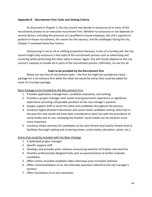#### **Appendix B -- Recruitment Firm Tasks and Vetting Criteria**

As discussed in Chapter 2, the city council may decide to outsource all or parts of the recruitment process to an executive recruitment firm. Whether to outsource or not depends on several factors, including the presence of a qualified in-house employee, the city's capacity to perform in-house recruitment, the reason for the vacancy, and the challenges facing the city. Chapter 2 reviewed these four factors.

Outsourcing is not an all or nothing proposition because, in lieu of a turnkey job, the city council might only outsource a few tasks of the recruitment process such as advertising and screening while performing the other tasks in-house. Again, this will mostly depend on the city council's capacity to handle all or parts of the recruitment process. Definitely, no size fits all.

#### **Tasks to be provided by the Recruitment firm**

Below are two lists of recruitment tasks – the first list might be considered a basic package for a recruitment firm while the other list would be extras that could be added for more of a turnkey package:

#### Basic Package to be Provided by the Recruitment Firm

- 1. Provides application management, candidate evaluation, and ranking.
- 2. Provides a project manager with career local government experience or significant experience recruiting comparable positions to the city manager's position.
- 3. Assigns support staff to assist the client and candidates throughout the process.
- 4. Conducts highly detailed mainstream and social media candidate vetting. Note that in the past this task would not have been considered as basic but with the prevalence of social media and its use, reviewing the finalists' social media use has become much more important.
- 5. Conducts media searches for candidates at the semi-finalist level and/or finalist level to facilitate thorough ranking and screening (news, social media, education, career, etc.).

#### Extras that could be included with the Basic Package

- 1. A dedicated project manager
- 2. Specific support staff
- 3. Develops and provides press releases announcing selection of finalists and new hire
- 4. Provides professionally designed tools such as questionnaires to further evaluate candidates.
- 5. Offers online recorded candidate video interviews prior to finalist selection
- 6. Offers recommendation of on-site interview questions tailored to the city manager's position
- 7. Offers facilitation of on-site interviews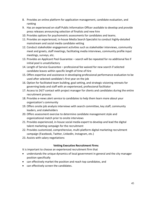- 8. Provides an online platform for application management, candidate evaluation, and ranking
- 9. Has an experienced on-staff Public Information Officer available to develop and provide press releases announcing selection of finalists and new hire
- 10. Provides options for psychometric assessments for candidates and teams.
- 11. Provides an experienced, in-house Media Search Specialist to conduct highly-detailed mainstream and social media candidate vetting
- 12. Conduct stakeholder engagement activities such as stakeholder interviews, community meet and greets, staff meetings, facilitating media interviews, community profile input meetings, surveys, etc.
- 13. Provides an Applicant Pool Guarantee search will be repeated for no additional fee if initial pool is unsatisfactory
- 14. Length of Service Guarantee professional fee waived for new search if selected candidate leaves within specific length of time of hire
- 15. Offers expertise and assistance in developing professional performance evaluation to be used after selected candidate's first year on the job
- 16. Option for facilitated team building, goal setting, and strategic visioning retreats for governing body and staff with an experienced, professional facilitator
- 17. Access to 24/7 contact with project manager for clients and candidates during the entire recruitment process
- 18. Provides e-news alert service to candidates to help them learn more about your organization's community
- 19. Offers onsite job analysis interviews with search committee, key staff, community leaders, and stakeholders
- 20. Offers assessment exercise to determine candidate management style and organizational match prior to onsite interviews
- 21. Provides experienced, in-house social media expert to develop and lead the digital talent marketing campaign for the recruitment
- 22. Provides customized, comprehensive, multi-platform digital marketing recruitment campaign (Facebook, Twitter, LinkedIn, Instagram, etc.)
- 23. Assists with salary negotiations

#### **Vetting Executive Recruitment Firms**

It is important to choose an experienced recruitment firm that

- understands the unique dynamics of local government in general and the city manager position specifically
- can effectively market the position and reach top candidates, and
- can effectively screen the candidates.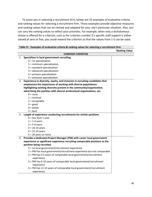To assist you in selecting a recruitment firm, below are 35 examples of evaluative criteria and ranking values for selecting a recruitment firm. These examples provide objective measures and ranking values that can be revised and adapted for your city's particular situation. Also, you can vary the ranking values to reflect your priorities. For example, when only a dichotomous choice is offered for a criterion, such as for criterion number 5's specific staff support is either valued at zero or five, you could reword the criterion so that the values from 1-5 can be used.

|    |                                                                              | <b>Ranking Value</b> |
|----|------------------------------------------------------------------------------|----------------------|
|    | <b>COMPANY EXPERTISE</b>                                                     |                      |
| 1. | Specializes in local government recruiting.                                  |                      |
|    | $0 = no$ specialization                                                      |                      |
|    | $1 =$ minimum specialization                                                 |                      |
|    | $2 =$ standard specialization                                                |                      |
|    | $3 =$ advanced specialization                                                |                      |
|    | $4 = primary specialization$                                                 |                      |
|    | $5$ = exclusive specialization                                               |                      |
| 2. | Experience in diversity, equity, and inclusion in recruiting candidates that |                      |
|    | emphasizes the importance of working with diverse populations;               |                      |
|    | highlighting existing diversity present in the community/organization;       |                      |
|    | advertising the position with diverse professional organizations, etc.       |                      |
|    | $0 = none$                                                                   |                      |
|    | $1 = \text{minimal}$                                                         |                      |
|    | $2 =$ acceptable                                                             |                      |
|    | $3 = good$                                                                   |                      |
|    | $4 = better$                                                                 |                      |
|    | $5 = best$                                                                   |                      |
| 3. | Length of experience conducting recruitments for similar positions           |                      |
|    | $0 =$ less than 1 year                                                       |                      |
|    | $1 = 1-4$ years                                                              |                      |
|    | $2 = 5-9$ years                                                              |                      |
|    | $3 = 10 - 14$ years                                                          |                      |
|    | $4 = 15 - 19$ years                                                          |                      |
|    | $5 = 20$ years or more                                                       |                      |
| 4. | Provides a dedicated Project Manager (PM) with career local government       |                      |
|    | experience or significant experience recruiting comparable positions to the  |                      |
|    | position being recruited.                                                    |                      |
|    | $0 =$ no local government/recruitment experience                             |                      |
|    | 1 = PM has local government/recruitment experience but not comparable        |                      |
|    | 2 = PM has 0-5 years of comparable local government/recruitment              |                      |
|    | experience                                                                   |                      |
|    | 3 = PM has 6-10 years of comparable local government/recruitment             |                      |
|    | experience                                                                   |                      |
|    | 4 = PM has 11-15 years of comparable local government/recruitment            |                      |
|    | experience                                                                   |                      |

| Table VI - Examples of evaluative criteria & ranking values for selecting a recruitment firm |
|----------------------------------------------------------------------------------------------|
|----------------------------------------------------------------------------------------------|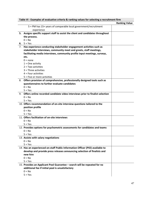|    | Table VI - Examples of evaluative criteria & ranking values for selecting a recruitment firm |                      |
|----|----------------------------------------------------------------------------------------------|----------------------|
|    |                                                                                              | <b>Ranking Value</b> |
|    | 5 = PM has 15+ years of comparable local government/recruitment                              |                      |
|    | experience                                                                                   |                      |
|    | 5. Assigns specific support staff to assist the client and candidates throughout             |                      |
|    | the process.                                                                                 |                      |
|    | $0 = No$                                                                                     |                      |
| 6. | $5 = Yes$                                                                                    |                      |
| 7. | Has experience conducting stakeholder engagement activities such as                          |                      |
|    | stakeholder interviews, community meet and greets, staff meetings,                           |                      |
|    | facilitating media interviews, community profile input meetings, surveys,                    |                      |
|    | etc.                                                                                         |                      |
|    | $0 = none$                                                                                   |                      |
|    | $1 = One$ activity                                                                           |                      |
|    | $2 = Two activities$                                                                         |                      |
|    | $3$ = Three activities                                                                       |                      |
|    | $4$ = Four activities                                                                        |                      |
|    | $5$ = Five or more activities                                                                |                      |
| 8. | Offers provision of comprehensive, professionally designed tools such as                     |                      |
|    | questionnaires to further evaluate candidates                                                |                      |
|    | $0 = No$                                                                                     |                      |
|    | $5 = Yes$                                                                                    |                      |
| 9. | Offers online recorded candidate video interviews prior to finalist selection                |                      |
|    | $0 = No$                                                                                     |                      |
|    | $5 = Yes$                                                                                    |                      |
|    | 10. Offers recommendation of on-site interview questions tailored to the                     |                      |
|    | position profile                                                                             |                      |
|    | $0 = No$                                                                                     |                      |
|    | $5 = Yes$                                                                                    |                      |
|    | 11. Offers facilitation of on-site interviews                                                |                      |
|    | $0 = No$                                                                                     |                      |
|    | $5 = Yes$                                                                                    |                      |
|    | 12. Provides options for psychometric assessments for candidates and teams                   |                      |
|    | $0 = No$                                                                                     |                      |
|    | $5 = Yes$                                                                                    |                      |
|    | 13. Assists with salary negotiations                                                         |                      |
|    | $0 = No$                                                                                     |                      |
|    | $5 = Yes$                                                                                    |                      |
|    | 14. Has an experienced on-staff Public Information Officer (PIO) available to                |                      |
|    | develop and provide press releases announcing selection of finalists and                     |                      |
|    | new hire                                                                                     |                      |
|    | $0 = No$                                                                                     |                      |
|    | $5 = Yes$                                                                                    |                      |
|    | 15. Provides an Applicant Pool Guarantee - search will be repeated for no                    |                      |
|    | additional fee if initial pool is unsatisfactory                                             |                      |
|    | $0 = No$                                                                                     |                      |
|    | $5 = Yes$                                                                                    |                      |

### 47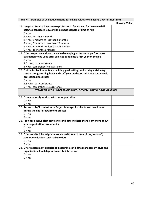| Table VI - Examples of evaluative criteria & ranking values for selecting a recruitment firm |                      |  |
|----------------------------------------------------------------------------------------------|----------------------|--|
|                                                                                              | <b>Ranking Value</b> |  |
| 16. Length of Service Guarantee - professional fee waived for new search if                  |                      |  |
| selected candidate leaves within specific length of time of hire                             |                      |  |
| $0 = No$                                                                                     |                      |  |
| $1 = Yes$ , less than 3 months                                                               |                      |  |
| $2 = Yes$ , 3 months to less than 6 months                                                   |                      |  |
| 3 = Yes, 6 months to less than 12 months                                                     |                      |  |
| 4 = Yes, 12 months to less than 18 months                                                    |                      |  |
| 5 = Yes, 18 months or longer                                                                 |                      |  |
| 17. Offers expertise and assistance in developing professional performance                   |                      |  |
| evaluation to be used after selected candidate's first year on the job                       |                      |  |
| $0 = No$                                                                                     |                      |  |
| $2.5$ = Yes, basic assistance                                                                |                      |  |
| 5 = Yes, comprehensive assistance                                                            |                      |  |
| 18. Option for facilitated team building, goal setting, and strategic visioning              |                      |  |
| retreats for governing body and staff year on the job with an experienced,                   |                      |  |
| professional facilitator                                                                     |                      |  |
| $0 = No$                                                                                     |                      |  |
| 2.5 = Yes, basic assistance                                                                  |                      |  |
| 5 = Yes, comprehensive assistance                                                            |                      |  |
| <b>STRATEGIES FOR UNDERSTANDING THE COMMUNITY &amp; ORGANIZATION</b>                         |                      |  |
|                                                                                              |                      |  |
| 19. Firm previously worked with our organization                                             |                      |  |
| $0 = No$                                                                                     |                      |  |
| $5 = Yes$                                                                                    |                      |  |
| 20. Access to 24/7 contact with Project Manager for clients and candidates                   |                      |  |
| during the entire recruitment process                                                        |                      |  |
| $0 = No$                                                                                     |                      |  |
| $5 = Yes$                                                                                    |                      |  |
| 21. Provides e-news alert service to candidates to help them learn more about                |                      |  |
| your organization's community                                                                |                      |  |
| $0 = No$                                                                                     |                      |  |
| $5 = Yes$                                                                                    |                      |  |
| 22. Offers onsite job analysis interviews with search committee, key staff,                  |                      |  |
| community leaders, and stakeholders                                                          |                      |  |
| $0 = No$                                                                                     |                      |  |
| $5 = Yes$                                                                                    |                      |  |
| 23. Offers assessment exercise to determine candidate management style and                   |                      |  |
| organizational match prior to onsite interviews                                              |                      |  |
| $0 = No$                                                                                     |                      |  |
| $5 = Yes$                                                                                    |                      |  |
|                                                                                              |                      |  |
|                                                                                              |                      |  |
|                                                                                              |                      |  |
|                                                                                              |                      |  |

 $\overline{\phantom{a}}$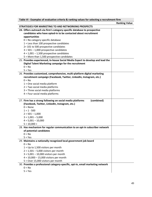|                                                                                | Table VI - Examples of evaluative criteria & ranking values for selecting a recruitment firm |  |  |
|--------------------------------------------------------------------------------|----------------------------------------------------------------------------------------------|--|--|
|                                                                                | <b>Ranking Value</b>                                                                         |  |  |
| STRATEGIES FOR MARKETING TO AND NETWORKING PROSPECTS                           |                                                                                              |  |  |
| 24. Offers outreach via firm's category-specific database to prospective       |                                                                                              |  |  |
| candidates who have opted-in to be contacted about recruitment                 |                                                                                              |  |  |
| opportunities                                                                  |                                                                                              |  |  |
| $0 = No category specific database$                                            |                                                                                              |  |  |
| $1 =$ Less than 100 prospective candidates                                     |                                                                                              |  |  |
| 2=101 to 500 prospective candidates                                            |                                                                                              |  |  |
| $3 = 501 - 1,000$ prospective candidates                                       |                                                                                              |  |  |
| $4 = 1,001 - 1,500$ prospective candidates                                     |                                                                                              |  |  |
| 5 = More than 1,500 prospective candidates                                     |                                                                                              |  |  |
| 25. Provides experienced, In-house Social Media Expert to develop and lead the |                                                                                              |  |  |
| Digital Talent Marketing campaign for the recruitment                          |                                                                                              |  |  |
| $0 = No$                                                                       |                                                                                              |  |  |
| $5 = Yes$                                                                      |                                                                                              |  |  |
| 26. Provides customized, comprehensive, multi-platform digital marketing       |                                                                                              |  |  |
| recruitment campaign (Facebook, Twitter, LinkedIn, Instagram, etc.)            |                                                                                              |  |  |
| $0 = No$                                                                       |                                                                                              |  |  |
| $1 =$ One social media platform                                                |                                                                                              |  |  |
| $2$ = Two social media platforms                                               |                                                                                              |  |  |
| 3 = Three social media platforms                                               |                                                                                              |  |  |
| $4$ = Four social media platforms                                              |                                                                                              |  |  |
|                                                                                |                                                                                              |  |  |
|                                                                                |                                                                                              |  |  |
| 27. Firm has a strong following on social media platforms<br>(combined)        |                                                                                              |  |  |
| (Facebook, Twitter, LinkedIn, Instagram, etc.)                                 |                                                                                              |  |  |
| $0 = None$                                                                     |                                                                                              |  |  |
| $1 = 1 - 500$                                                                  |                                                                                              |  |  |
| $2 = 501 - 1,000$                                                              |                                                                                              |  |  |
| $3 = 1,001 - 5,000$                                                            |                                                                                              |  |  |
| $4 = 5,001 - 10,000$                                                           |                                                                                              |  |  |
| $5 = 10,000 +$                                                                 |                                                                                              |  |  |
| 28. Has mechanism for regular communication to an opt-in subscriber network    |                                                                                              |  |  |
| of potential candidates                                                        |                                                                                              |  |  |
| $0 = No$                                                                       |                                                                                              |  |  |
| $5 = Yes$                                                                      |                                                                                              |  |  |
| 29. Maintains a nationally recognized local government job board               |                                                                                              |  |  |
| $0 = No$                                                                       |                                                                                              |  |  |
| $1 = Up to 1,500 visitors per month$                                           |                                                                                              |  |  |
| $2 = 1,501 - 5,000$ visitors per month                                         |                                                                                              |  |  |
| $3 = 5,001 - 10,000$ visitors per month                                        |                                                                                              |  |  |
| $4 = 10,000 - 15,000$ visitors per month                                       |                                                                                              |  |  |
| 5 = Over 15,000 visitors per month                                             |                                                                                              |  |  |
| 30. Provides a professional category-specific, opt-in, email marketing network |                                                                                              |  |  |
| $0 = No$                                                                       |                                                                                              |  |  |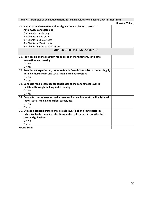| Table VI - Examples of evaluative criteria & ranking values for selecting a recruitment firm |                      |  |
|----------------------------------------------------------------------------------------------|----------------------|--|
|                                                                                              | <b>Ranking Value</b> |  |
| 31. Has an extensive network of local government clients to attract a                        |                      |  |
| nationwide candidate pool                                                                    |                      |  |
| $0 =$ In-state clients only                                                                  |                      |  |
| $2$ = Clients in 2-10 states                                                                 |                      |  |
| $3$ = Clients in 11-25 states                                                                |                      |  |
| $4$ = Clients in 26-40 states                                                                |                      |  |
| 5 = Clients in more than 40 states                                                           |                      |  |
| <b>STRATEGIES FOR VETTING CANDIDATES</b>                                                     |                      |  |
|                                                                                              |                      |  |
| 31. Provides an online platform for application management, candidate                        |                      |  |
| evaluation, and ranking                                                                      |                      |  |
| $0 = No$                                                                                     |                      |  |
| $5 = Yes$                                                                                    |                      |  |
| 32. Provides an experienced, in-house Media Search Specialist to conduct highly              |                      |  |
| detailed mainstream and social media candidate vetting                                       |                      |  |
| $0 = No$                                                                                     |                      |  |
| $5 = Yes$                                                                                    |                      |  |
| 33. Conducts media searches for candidates at the semi-finalist level to                     |                      |  |
| facilitate thorough ranking and screening                                                    |                      |  |
| $0 = No$                                                                                     |                      |  |
| $5 = Yes$                                                                                    |                      |  |
| 34. Conducts comprehensive media searches for candidates at the finalist level               |                      |  |
| (news, social media, education, career, etc.)                                                |                      |  |
| $0 = No$                                                                                     |                      |  |
| $5 = Yes$                                                                                    |                      |  |
| 35. Utilizes a licensed professional private investigation firm to perform                   |                      |  |
| extensive background investigations and credit checks per specific state                     |                      |  |
| laws and guidelines                                                                          |                      |  |
| $0 = No$                                                                                     |                      |  |
| $5 = Yes$                                                                                    |                      |  |
| <b>Grand Total</b>                                                                           |                      |  |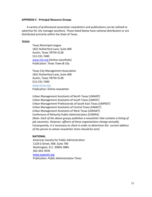#### **APPENDIX C - Principal Resource Groups**

A variety of professional association newsletters and publications can be utilized to advertise for city manager positions. Those listed below have national distribution or are distributed primarily within the State of Texas.

#### **TEXAS**

Texas Municipal League 1821 Rutherford Lane, Suite 400 Austin, Texas 78754-5128 512-231-7400 [www.tml.org](http://www.tml.org/) (Online classifieds) Publication: *Texas Town & City*

Texas City Management Association 1821 Rutherford Lane, Suite 400 Austin, Texas 78754-5128 512-231-7400 [www.tcma.org](http://www.tcma.org/) Publication: Online newsletter

Urban Management Assistants of North Texas (UMANT) Urban Management Assistants of South Texas (UMAST) Urban Management Professionals of South East Texas (UMPSET) Urban Management Assistants of Central Texas (UMACT) Urban Management Assistants of West Texas (UMAWT) Conference of Minority Public Administrators (COMPA) *(Note: Each of the above groups publishes a newsletter that contains a listing of job vacancies. However, officers of these organizations change annually. Consequently, it is necessary to check in order to determine the current address of the person to whom newsletter items should be sent)*

#### **NATIONAL**

American Society for Public Administration 1120 G Street, NW, Suite 700 Washington, D.C. 20005-3885 202-393-7878 [www.aspanet.org](http://www.aspanet.org/)

Publication: *Public Administration Times*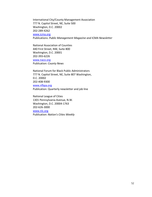International City/County Management Association 777 N. Capitol Street, NE, Suite 500 Washington, D.C. 20002 202-289-4262 [www.icma.org](http://www.icma.org/) Publications: *Public Management Magazine and ICMA Newsletter*

National Association of Counties 440 First Street, NW, Suite 800 Washington, D.C. 20001 202-393-6226 [www.naco.org](http://www.naco.org/) Publication: *County News*

National Forum for Black Public Administrators 777 N. Capitol Street, NE, Suite 807 Washington, D.C. 20002 202-408-9300 [www.nfbpa.org](http://www.nfbpa.org/) Publication: Quarterly newsletter and job line

National League of Cities 1301 Pennsylvania Avenue, N.W. Washington, D.C. 20004-1763 202-626-3000 [www.nlc.org](http://www.nlc.org/) Publication: *Nation's Cities Weekly*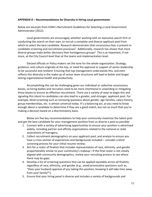#### **APPENDIX D – Recommendations for Diversity in Hiring Local governments**

Below are excerpts from ICMA's Recruitment Guidelines for Selecting a Local Government Administrator (2012).

Local governments are encouraged, whether working with an executive search firm or conducting the search on their own, to recruit a complete and diverse applicant pool from which to select the best candidate. Research demonstrates that unconscious bias is present in candidate screening and recruitment processes<sup>1</sup>. Additionally, research has shown that more diverse groups make better decisions than homogenous groups<sup>2</sup>. This is as important, if not more, at the City Council level than at the teams and implementation level.

Elected officials or Policy makers set the tone for the whole organization. Strategy, guidance, and culture originate at the top, or need the approval or support of senior leadership to be successful and resilient. Ensuring that top management understands this, and even reflects this diversity in the make-up of senior team structures will lead to better and longer lasting organizational health and productivity.

Accomplishing this can be challenging given our individual or collective unconscious biases, so hiring bodies and recruiters need to be more intentional in unwinding or mitigating those biases to ensure an effective recruitment. There are a variety of ways to begin this and signaling this intent to candidates can also lead to a greater, and stronger, applicant pool. For example, blind screening such as removing questions about gender, age families, salary history, group memberships, etc. is almost universal today. It's a balancing act, as you need to know enough about a candidate to determine if they are a good match, but not so much that you're making a decision based on a discriminatory basis.

Below are five key recommendations to help your community maximize the talent pool and get the best candidate for your management position from as diverse a pool as possible:

- 1. Connect with a variety of advertising opportunities to ensure your position is advertised widely, including partner and affinity organizations related to the national or state associations of managers;
- 2. Collect recruitment demographics on your applicant pool, and analyze to ensure you have a cross-section of experiences and backgrounds included— consider a blind screening process for your initial resume review;
- 3. Aim for a roster of finalists that includes representation of race, ethnicity, and gender proportionality similar to your community's makeup—if the final roster is not closely aligned with community demographics, review your recruiting process to see where there may be gaps;
- 4. Develop a list of screening questions that can be applied equitably across all finalists, regardless of race, ethnicity, and gender (e.g., avoid provocative questions such as, "Does your husband approve of you taking this position, knowing it will take time away from your family?");
- 5. Ensure that your hiring panel is diverse and includes a variety of backgrounds and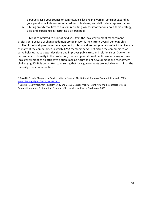perspectives; if your council or commission is lacking in diversity, consider expanding your panel to include community residents, business, and civil society representatives.

6. If hiring an external firm to assist in recruiting, ask for information about their strategy, skills and experience in recruiting a diverse pool.

ICMA is committed to promoting diversity in the local government management profession. Because of changing demographics in world, the current overall demographic profile of the local government management profession does not generally reflect the diversity of many of the communities in which ICMA members serve. Reflecting the communities we serve helps us make better decisions and improves public trust and relationships. Due to the current lack of diversity in the profession, the next generation of public servants may not see local government as an attractive option, making future talent development and recruitment challenging. ICMA is committed to ensuring that local governments are inclusive and mirror the diversity of our communities.

\_\_\_\_\_\_\_\_\_\_\_\_\_\_\_\_\_\_\_

<sup>1.</sup> David R. Francis, "Employers' Replies to Racial Names," The National Bureau of Economic Research, 2003: [www.nber.org/digest/sep03/w9873.html](http://www.nber.org/digest/sep03/w9873.html)

<sup>&</sup>lt;sup>2.</sup> Samuel R. Sommers, "On Racial Diversity and Group Decision Making: Identifying Multiple Effects of Racial Composition on Jury Deliberations," Journal of Personality and Social Psychology, 2006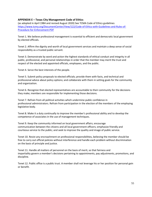#### **APPENDIX E – Texas City Management Code of Ethics**

(as adopted in April 1984 and revised August 2020) See TCMA Code of Ethics guidelines [https://www.tcma.org/DocumentCenter/View/122/Code-of-Ethics-with-Guidelines-and-Rules-of-](https://www.tcma.org/DocumentCenter/View/122/Code-of-Ethics-with-Guidelines-and-Rules-of-Procedure-for-Enforcement-PDF)[Procedure-for-Enforcement-PDF](https://www.tcma.org/DocumentCenter/View/122/Code-of-Ethics-with-Guidelines-and-Rules-of-Procedure-for-Enforcement-PDF)

Tenet 1. We believe professional management is essential to efficient and democratic local government by elected officials.

Tenet 2. Affirm the dignity and worth of local government services and maintain a deep sense of social responsibility as a trusted public servant.

Tenet 3. Demonstrate by word and action the highest standards of ethical conduct and integrity in all public, professional, and personal relationships in order that the member may merit the trust and respect of the elected and appointed officials, employees, and the public.

Tenet 4. Serve the best interests of the people.

Tenet 5. Submit policy proposals to elected officials; provide them with facts, and technical and professional advice about policy options; and collaborate with them in setting goals for the community and organization.

Tenet 6. Recognize that elected representatives are accountable to their community for the decisions they make; members are responsible for implementing those decisions.

Tenet 7. Refrain from all political activities which undermine public confidence in professional administrators. Refrain from participation in the election of the members of the employing legislative body.

Tenet 8. Make it a duty continually to improve the member's professional ability and to develop the competence of associates in the use of management techniques.

Tenet 9. Keep the community informed on local government affairs; encourage communication between the citizens and all local government officers; emphasize friendly and courteous service to the public; and seek to improve the quality and image of public service.

Tenet 10. Resist any encroachment on professional responsibilities, believing the member should be free to carry out official policies without interference and handle each problem without discrimination on the basis of principle and justice.

Tenet 11. Handle all matters of personnel on the basis of merit, so that fairness and impartiality govern a member's decisions pertaining to appointments, pay adjustments, promotions, and discipline.

Tenet 12. Public office is a public trust. A member shall not leverage his or her position for personal gain or benefit.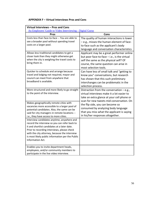# **APPENDIX F – Virtual Interviews Pros and Cons**

| Virtual Interviews - Pros and Cons                                                                                                                                                                                                                                                                                  |                                                                                                                                                                                                          |  |  |
|---------------------------------------------------------------------------------------------------------------------------------------------------------------------------------------------------------------------------------------------------------------------------------------------------------------------|----------------------------------------------------------------------------------------------------------------------------------------------------------------------------------------------------------|--|--|
| An Employers' Guide to Video Interviewing - Digital Gurus                                                                                                                                                                                                                                                           |                                                                                                                                                                                                          |  |  |
| Pros                                                                                                                                                                                                                                                                                                                | Cons                                                                                                                                                                                                     |  |  |
| Costs less than face-to-face -- You are able to<br>see a broader pool without spending travel<br>costs on a larger pool.                                                                                                                                                                                            | The quality of human interactions is lower<br>- e.g., misses the human element of face-<br>to-face such as the applicant's body<br>language and conversation characteristics                             |  |  |
| Allows less traditional candidates to get a<br>closer look than they might otherwise get<br>when the city is weighing the travel costs to<br>bring them in.                                                                                                                                                         | Applicant may be a great performer online<br>but poor face-to-face $-$ i.e., is the virtual<br>self the same as the physical self? Of<br>course, the same question can arise in<br>most selection tools. |  |  |
| Quicker to schedule and arrange because<br>travel and lodging not required, mayor and<br>council can meet from anywhere that<br>broadband is available.                                                                                                                                                             | Can have less of small talk and "getting to<br>know you" conversations, but research<br>has shown that this such preliminary<br>interchanges can be problematic in the<br>selection process.             |  |  |
| More structured and more likely to go straight<br>to the point of the interview.                                                                                                                                                                                                                                    | Distraction from the conversation - e.g.,<br>virtual interviews make it a lot easier to<br>take an extra glance at your cell phone or<br>scan for new tweets mid-conversation. On                        |  |  |
| Makes geographically remote cities with<br>vacancies more accessible to a larger pool of<br>potential candidates. Also, the same can be<br>said for city managers in remote locations --<br>i.e., they have access to more cities.                                                                                  | the flip side, you can become so<br>consumed by analyzing body language<br>that you miss what the applicant is saying<br>in his/her responses altogether.                                                |  |  |
| Interview candidates anytime, anywhere and<br>record the interview so you can refer back to<br>it and shortlist candidates at a later date.<br>Prior to recording interviews, please check<br>with the city attorney, because the interview<br>is most likely public information per the Public<br>Information Act. |                                                                                                                                                                                                          |  |  |
| Enables you to invite department heads,<br>employees, and/or community members to<br>participate in the live video interview.                                                                                                                                                                                       |                                                                                                                                                                                                          |  |  |